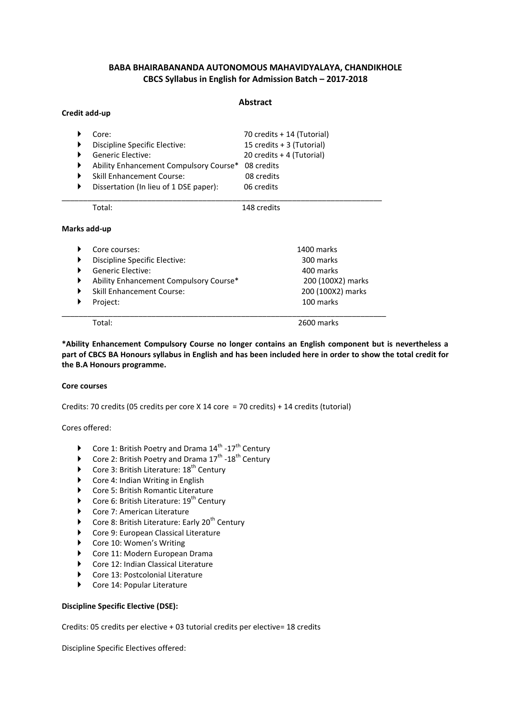# **BABA BHAIRABANANDA AUTONOMOUS MAHAVIDYALAYA, CHANDIKHOLE CBCS Syllabus in English for Admission Batch – 2017-2018**

#### **Abstract**

| ▶            | Core:                                  | 70 credits + 14 (Tutorial)<br>15 credits + 3 (Tutorial)<br>20 credits + 4 (Tutorial)<br>08 credits |  |
|--------------|----------------------------------------|----------------------------------------------------------------------------------------------------|--|
|              | Discipline Specific Elective:          |                                                                                                    |  |
|              | Generic Elective:                      |                                                                                                    |  |
|              | Ability Enhancement Compulsory Course* |                                                                                                    |  |
|              | <b>Skill Enhancement Course:</b>       | 08 credits                                                                                         |  |
| ▶            | Dissertation (In lieu of 1 DSE paper): | 06 credits                                                                                         |  |
|              | Total:                                 | 148 credits                                                                                        |  |
| Marks add-up |                                        |                                                                                                    |  |
|              | Core courses:                          | 1400 marks                                                                                         |  |
|              | Discipline Specific Elective:          | 300 marks                                                                                          |  |
|              | Generic Elective:                      | 400 marks                                                                                          |  |
|              | Ability Enhancement Compulsory Course* | 200 (100X2) marks                                                                                  |  |
|              | <b>Skill Enhancement Course:</b>       | 200 (100X2) marks                                                                                  |  |
|              | Project:                               | 100 marks                                                                                          |  |

\_\_\_\_\_\_\_\_\_\_\_\_\_\_\_\_\_\_\_\_\_\_\_\_\_\_\_\_\_\_\_\_\_\_\_\_\_\_\_\_\_\_\_\_\_\_\_\_\_\_\_\_\_\_\_\_\_\_\_\_\_\_\_\_\_\_\_\_\_\_\_\_\_\_\_\_

Total: 2600 marks

**\*Ability Enhancement Compulsory Course no longer contains an English component but is nevertheless a part of CBCS BA Honours syllabus in English and has been included here in order to show the total credit for the B.A Honours programme.** 

## **Core courses**

**Credit add-up**

Credits: 70 credits (05 credits per core X 14 core = 70 credits) + 14 credits (tutorial)

Cores offered:

- Core 1: British Poetry and Drama  $14^{\text{th}}$  -17<sup>th</sup> Century
- Core 2: British Poetry and Drama  $17^{\text{th}}$  -18<sup>th</sup> Century
- Core 3: British Literature:  $18<sup>th</sup>$  Century
- ▶ Core 4: Indian Writing in English
- ▶ Core 5: British Romantic Literature
- Core 6: British Literature:  $19^{th}$  Century
- ▶ Core 7: American Literature
- $\blacktriangleright$  Core 8: British Literature: Early 20<sup>th</sup> Century
- ▶ Core 9: European Classical Literature
- ▶ Core 10: Women's Writing
- ▶ Core 11: Modern European Drama
- ▶ Core 12: Indian Classical Literature
- ▶ Core 13: Postcolonial Literature
- ▶ Core 14: Popular Literature

#### **Discipline Specific Elective (DSE):**

Credits: 05 credits per elective + 03 tutorial credits per elective= 18 credits

Discipline Specific Electives offered: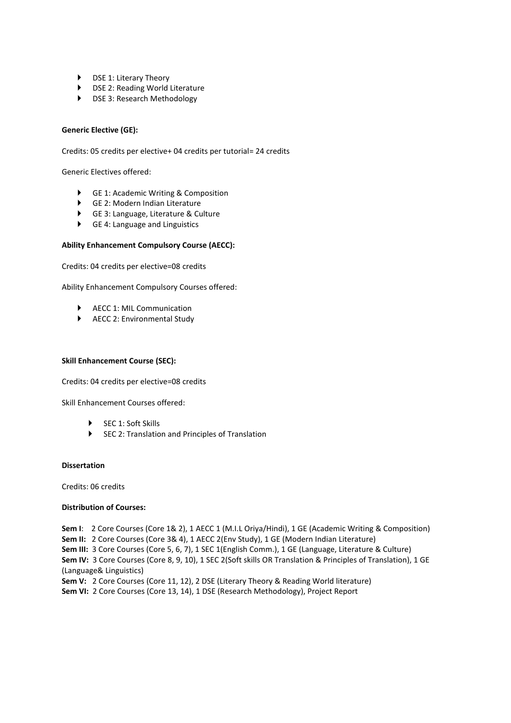- ▶ DSE 1: Literary Theory
- DSE 2: Reading World Literature
- DSE 3: Research Methodology

## **Generic Elective (GE):**

Credits: 05 credits per elective+ 04 credits per tutorial= 24 credits

Generic Electives offered:

- GE 1: Academic Writing & Composition
- GE 2: Modern Indian Literature
- GE 3: Language, Literature & Culture
- GE 4: Language and Linguistics

#### **Ability Enhancement Compulsory Course (AECC):**

Credits: 04 credits per elective=08 credits

Ability Enhancement Compulsory Courses offered:

- AECC 1: MIL Communication
- ▶ AECC 2: Environmental Study

## **Skill Enhancement Course (SEC):**

Credits: 04 credits per elective=08 credits

Skill Enhancement Courses offered:

- SEC 1: Soft Skills
- SEC 2: Translation and Principles of Translation

#### **Dissertation**

Credits: 06 credits

#### **Distribution of Courses:**

**Sem I**: 2 Core Courses (Core 1& 2), 1 AECC 1 (M.I.L Oriya/Hindi), 1 GE (Academic Writing & Composition) **Sem II:** 2 Core Courses (Core 3& 4), 1 AECC 2(Env Study), 1 GE (Modern Indian Literature) **Sem III:** 3 Core Courses (Core 5, 6, 7), 1 SEC 1(English Comm.), 1 GE (Language, Literature & Culture) **Sem IV:** 3 Core Courses (Core 8, 9, 10), 1 SEC 2(Soft skills OR Translation & Principles of Translation), 1 GE (Language& Linguistics) Sem V: 2 Core Courses (Core 11, 12), 2 DSE (Literary Theory & Reading World literature) **Sem VI:** 2 Core Courses (Core 13, 14), 1 DSE (Research Methodology), Project Report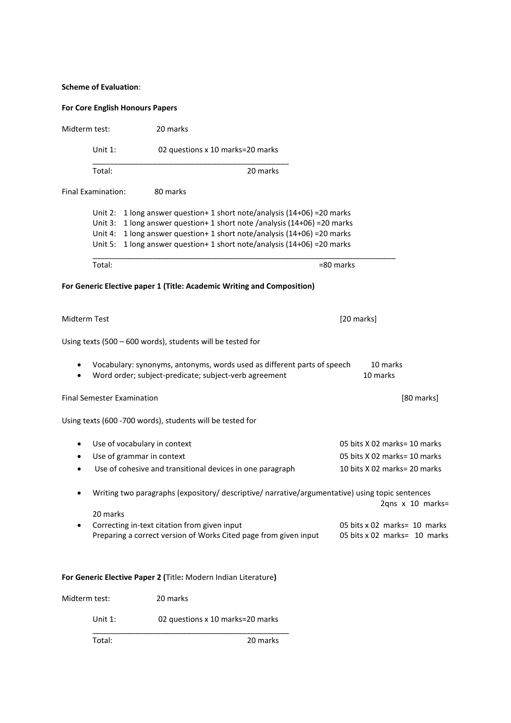# **Scheme of Evaluation**:

# **For Core English Honours Papers**

| Midterm test: |                                 | 20 marks                                                                                                                                                                                                                                                                               |                                                              |
|---------------|---------------------------------|----------------------------------------------------------------------------------------------------------------------------------------------------------------------------------------------------------------------------------------------------------------------------------------|--------------------------------------------------------------|
|               | Unit $1$ :                      | 02 questions x 10 marks=20 marks                                                                                                                                                                                                                                                       |                                                              |
|               | Total:                          | 20 marks                                                                                                                                                                                                                                                                               |                                                              |
|               | Final Examination:              | 80 marks                                                                                                                                                                                                                                                                               |                                                              |
|               | Unit $3:$<br>Unit 4:<br>Unit 5: | Unit 2: 1 long answer question + 1 short note/analysis (14+06) = 20 marks<br>1 long answer question+ 1 short note /analysis (14+06) = 20 marks<br>1 long answer question+ 1 short note/analysis (14+06) = 20 marks<br>1 long answer question+ 1 short note/analysis (14+06) = 20 marks |                                                              |
|               | Total:                          | =80 marks                                                                                                                                                                                                                                                                              |                                                              |
|               |                                 | For Generic Elective paper 1 (Title: Academic Writing and Composition)                                                                                                                                                                                                                 |                                                              |
| Midterm Test  |                                 |                                                                                                                                                                                                                                                                                        | [20 marks]                                                   |
|               |                                 | Using texts (500 - 600 words), students will be tested for                                                                                                                                                                                                                             |                                                              |
|               |                                 | Vocabulary: synonyms, antonyms, words used as different parts of speech<br>Word order; subject-predicate; subject-verb agreement                                                                                                                                                       | 10 marks<br>10 marks                                         |
|               |                                 | <b>Final Semester Examination</b>                                                                                                                                                                                                                                                      | [80 marks]                                                   |
|               |                                 | Using texts (600 -700 words), students will be tested for                                                                                                                                                                                                                              |                                                              |
| ٠             |                                 | Use of vocabulary in context                                                                                                                                                                                                                                                           | 05 bits X 02 marks= 10 marks                                 |
|               |                                 | Use of grammar in context                                                                                                                                                                                                                                                              | 05 bits X 02 marks= 10 marks                                 |
|               |                                 | Use of cohesive and transitional devices in one paragraph                                                                                                                                                                                                                              | 10 bits X 02 marks= 20 marks                                 |
|               |                                 | Writing two paragraphs (expository/ descriptive/ narrative/argumentative) using topic sentences                                                                                                                                                                                        | 2qns x 10 marks=                                             |
|               | 20 marks                        | Correcting in-text citation from given input<br>Preparing a correct version of Works Cited page from given input                                                                                                                                                                       | 05 bits x 02 marks= 10 marks<br>05 bits x 02 marks= 10 marks |
|               |                                 | For Generic Elective Paper 2 (Title: Modern Indian Literature)                                                                                                                                                                                                                         |                                                              |
| Midterm test: |                                 | 20 marks                                                                                                                                                                                                                                                                               |                                                              |
|               | Unit 1:                         | 02 questions x 10 marks=20 marks                                                                                                                                                                                                                                                       |                                                              |
|               | Total:                          | 20 marks                                                                                                                                                                                                                                                                               |                                                              |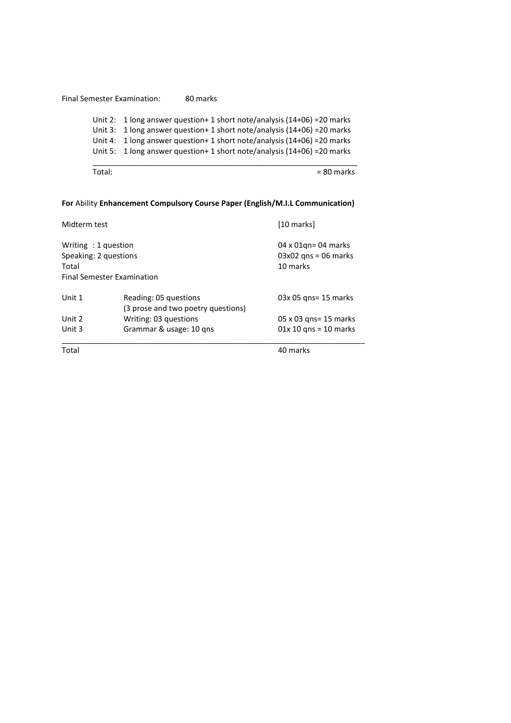Final Semester Examination: 80 marks Unit 2: 1 long answer question+ 1 short note/analysis (14+06) =20 marks Unit 3: 1 long answer question+ 1 short note/analysis (14+06) =20 marks Unit 4: 1 long answer question+ 1 short note/analysis (14+06) =20 marks Unit 5: 1 long answer question+ 1 short note/analysis (14+06) =20 marks \_\_\_\_\_\_\_\_\_\_\_\_\_\_\_\_\_\_\_\_\_\_\_\_\_\_\_\_\_\_\_\_\_\_\_\_\_\_\_\_\_\_\_\_\_\_\_\_\_\_\_\_\_\_\_\_\_\_\_\_\_\_

Total:  $= 80$  marks

# **For** Ability **Enhancement Compulsory Course Paper (English/M.I.L Communication)**

| Total                                                 |                                                             | 40 marks                                                          |  |
|-------------------------------------------------------|-------------------------------------------------------------|-------------------------------------------------------------------|--|
| Unit 3                                                | Grammar & usage: 10 gns                                     | $01x 10$ gns = 10 marks                                           |  |
| Unit 2                                                | Writing: 03 questions                                       | 05 x 03 gns= 15 marks                                             |  |
| Unit 1                                                | Reading: 05 questions<br>(3 prose and two poetry questions) | 03x 05 gns= 15 marks                                              |  |
| Writing: 1 question<br>Speaking: 2 questions<br>Total | <b>Final Semester Examination</b>                           | $04 \times 01$ gn= 04 marks<br>$03x02$ qns = 06 marks<br>10 marks |  |
| Midterm test                                          |                                                             | [10 marks]                                                        |  |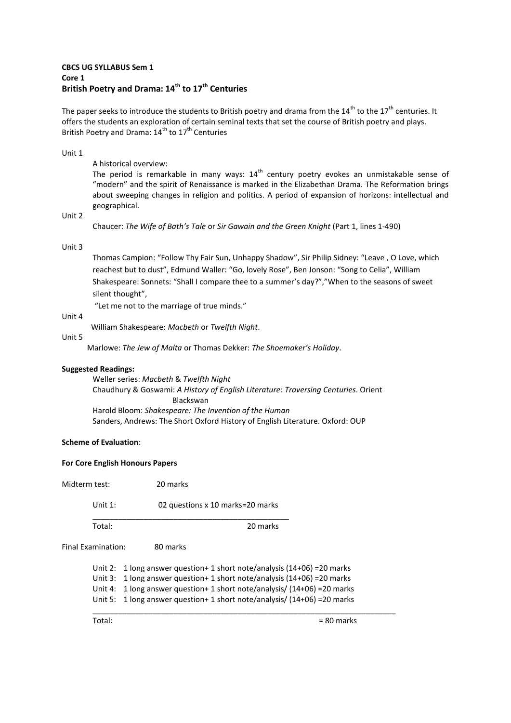# **CBCS UG SYLLABUS Sem 1 Core 1 British Poetry and Drama: 14th to 17th Centuries**

The paper seeks to introduce the students to British poetry and drama from the  $14^{th}$  to the  $17^{th}$  centuries. It offers the students an exploration of certain seminal texts that set the course of British poetry and plays. British Poetry and Drama: 14<sup>th</sup> to 17<sup>th</sup> Centuries

#### Unit 1

A historical overview:

The period is remarkable in many ways:  $14<sup>th</sup>$  century poetry evokes an unmistakable sense of ͞modern͟ and the spirit of Renaissance is marked in the Elizabethan Drama. The Reformation brings about sweeping changes in religion and politics. A period of expansion of horizons: intellectual and geographical.

Unit 2

Chaucer: *The Wife of Bath's Tale* or *Sir Gawain and the Green Knight* (Part 1, lines 1-490)

#### Unit 3

Thomas Campion: "Follow Thy Fair Sun, Unhappy Shadow", Sir Philip Sidney: "Leave, O Love, which reachest but to dust". Edmund Waller: "Go, lovely Rose". Ben Jonson: "Song to Celia". William Shakespeare: Sonnets: "Shall I compare thee to a summer's day?","When to the seasons of sweet silent thought",

"Let me not to the marriage of true minds."

#### Unit 4

William Shakespeare: *Macbeth* or *Twelfth Night*.

#### Unit 5

Marlowe: *The Jew of Malta* or Thomas Dekker: *The Shoemaker's Holiday*.

## **Suggested Readings:**

Weller series: *Macbeth* & *Twelfth Night* Chaudhury & Goswami: *A History of English Literature*: *Traversing Centuries*. Orient Blackswan Harold Bloom: *Shakespeare: The Invention of the Human*  Sanders, Andrews: The Short Oxford History of English Literature. Oxford: OUP

## **Scheme of Evaluation**:

#### **For Core English Honours Papers**

Midterm test: 20 marks

Unit 1: 02 questions x 10 marks=20 marks \_\_\_\_\_\_\_\_\_\_\_\_\_\_\_\_\_\_\_\_\_\_\_\_\_\_\_\_\_\_\_\_\_\_\_\_\_\_\_\_\_\_\_\_\_\_

Total: 20 marks

Final Examination: 80 marks

Unit 2: 1 long answer question+ 1 short note/analysis (14+06) =20 marks Unit 3: 1 long answer question+ 1 short note/analysis (14+06) =20 marks Unit 4: 1 long answer question+ 1 short note/analysis/ (14+06) =20 marks Unit 5: 1 long answer question+ 1 short note/analysis/ (14+06) =20 marks \_\_\_\_\_\_\_\_\_\_\_\_\_\_\_\_\_\_\_\_\_\_\_\_\_\_\_\_\_\_\_\_\_\_\_\_\_\_\_\_\_\_\_\_\_\_\_\_\_\_\_\_\_\_\_\_\_\_\_\_\_\_\_\_\_\_\_\_\_\_\_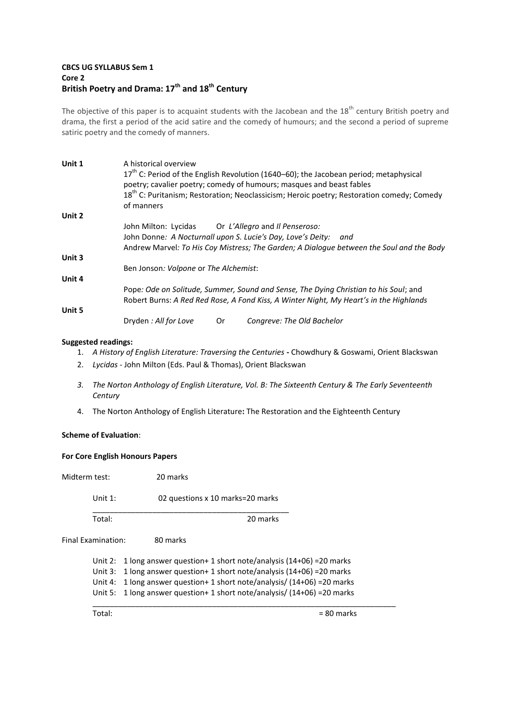# **CBCS UG SYLLABUS Sem 1 Core 2 British Poetry and Drama: 17th and 18th Century**

The objective of this paper is to acquaint students with the Jacobean and the 18<sup>th</sup> century British poetry and drama, the first a period of the acid satire and the comedy of humours; and the second a period of supreme satiric poetry and the comedy of manners.

| Unit 1 | A historical overview                                                                                 |  |
|--------|-------------------------------------------------------------------------------------------------------|--|
|        | 17 <sup>th</sup> C: Period of the English Revolution (1640–60); the Jacobean period; metaphysical     |  |
|        | poetry; cavalier poetry; comedy of humours; masques and beast fables                                  |  |
|        | 18 <sup>th</sup> C: Puritanism; Restoration; Neoclassicism; Heroic poetry; Restoration comedy; Comedy |  |
|        | of manners                                                                                            |  |
| Unit 2 |                                                                                                       |  |
|        | John Milton: Lycidas Or L'Allegro and Il Penseroso:                                                   |  |
|        | John Donne: A Nocturnall upon S. Lucie's Day, Love's Deity: and                                       |  |
|        | Andrew Marvel: To His Coy Mistress; The Garden; A Dialogue between the Soul and the Body              |  |
| Unit 3 |                                                                                                       |  |
|        | Ben Jonson: Volpone or The Alchemist:                                                                 |  |
| Unit 4 |                                                                                                       |  |
|        | Pope: Ode on Solitude, Summer, Sound and Sense, The Dying Christian to his Soul; and                  |  |
|        | Robert Burns: A Red Red Rose, A Fond Kiss, A Winter Night, My Heart's in the Highlands                |  |
| Unit 5 |                                                                                                       |  |
|        | Dryden : All for Love<br>0r<br>Congreve: The Old Bachelor                                             |  |

# **Suggested readings:**

- 1. *A History of English Literature: Traversing the Centuries*Chowdhury & Goswami, Orient Blackswan
- 2. *Lycidas* John Milton (Eds. Paul & Thomas), Orient Blackswan
- *3. The Norton Anthology of English Literature, Vol. B: The Sixteenth Century & The Early Seventeenth Century*
- 4. The Norton Anthology of English Literature**:** The Restoration and the Eighteenth Century

## **Scheme of Evaluation**:

## **For Core English Honours Papers**

Midterm test: 20 marks

Unit 1: 02 questions x 10 marks=20 marks

\_\_\_\_\_\_\_\_\_\_\_\_\_\_\_\_\_\_\_\_\_\_\_\_\_\_\_\_\_\_\_\_\_\_\_\_\_\_\_\_\_\_\_\_\_\_

Total: 20 marks

Final Examination: 80 marks

Unit 2: 1 long answer question+ 1 short note/analysis (14+06) =20 marks Unit 3: 1 long answer question+ 1 short note/analysis (14+06) =20 marks Unit 4: 1 long answer question+ 1 short note/analysis/ (14+06) =20 marks Unit 5: 1 long answer question+ 1 short note/analysis/ (14+06) =20 marks

\_\_\_\_\_\_\_\_\_\_\_\_\_\_\_\_\_\_\_\_\_\_\_\_\_\_\_\_\_\_\_\_\_\_\_\_\_\_\_\_\_\_\_\_\_\_\_\_\_\_\_\_\_\_\_\_\_\_\_\_\_\_\_\_\_\_\_\_\_\_\_

 $Total:$   $= 80$  marks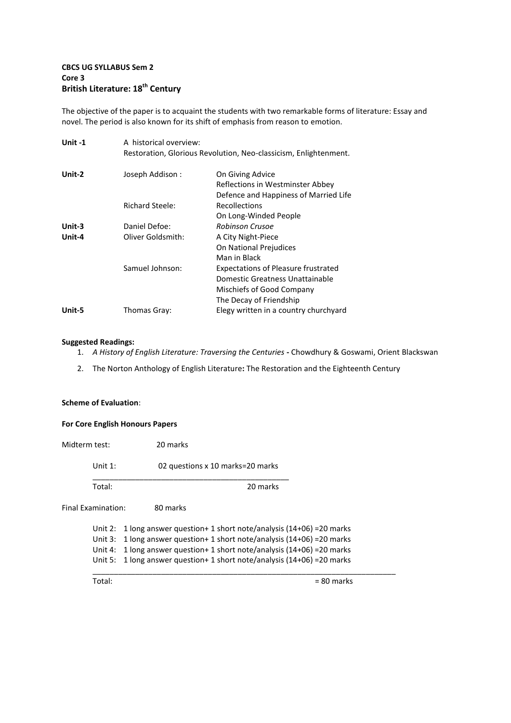# **CBCS UG SYLLABUS Sem 2 Core 3 British Literature: 18th Century**

The objective of the paper is to acquaint the students with two remarkable forms of literature: Essay and novel. The period is also known for its shift of emphasis from reason to emotion.

| Unit $-1$ | A historical overview: |                                                                                                                                       |  |
|-----------|------------------------|---------------------------------------------------------------------------------------------------------------------------------------|--|
|           |                        | Restoration, Glorious Revolution, Neo-classicism, Enlightenment.                                                                      |  |
| Unit-2    | Joseph Addison:        | On Giving Advice<br>Reflections in Westminster Abbey<br>Defence and Happiness of Married Life                                         |  |
|           | <b>Richard Steele:</b> | <b>Recollections</b><br>On Long-Winded People                                                                                         |  |
| Unit-3    | Daniel Defoe:          | Robinson Crusoe                                                                                                                       |  |
| Unit-4    | Oliver Goldsmith:      | A City Night-Piece<br>On National Prejudices                                                                                          |  |
|           |                        | Man in Black                                                                                                                          |  |
|           | Samuel Johnson:        | <b>Expectations of Pleasure frustrated</b><br>Domestic Greatness Unattainable<br>Mischiefs of Good Company<br>The Decay of Friendship |  |
| Unit-5    | Thomas Gray:           | Elegy written in a country churchyard                                                                                                 |  |

## **Suggested Readings:**

- 1. *A History of English Literature: Traversing the Centuries*Chowdhury & Goswami, Orient Blackswan
- 2. The Norton Anthology of English Literature**:** The Restoration and the Eighteenth Century

## **Scheme of Evaluation**:

# **For Core English Honours Papers**

| Midterm test:      |            | 20 marks                                                            |
|--------------------|------------|---------------------------------------------------------------------|
|                    | Unit $1$ : | 02 questions x 10 marks=20 marks                                    |
|                    | Total:     | 20 marks                                                            |
| Final Examination: |            | 80 marks                                                            |
|                    | Unit 2:    | 1 long answer question + 1 short note/analysis $(14+06)$ = 20 marks |
|                    | Unit $3:$  | 1 long answer question + 1 short note/analysis $(14+06)$ = 20 marks |
|                    | Unit 4:    | 1 long answer question + 1 short note/analysis $(14+06)$ = 20 marks |
|                    | Unit 5:    | 1 long answer question+ 1 short note/analysis (14+06) = 20 marks    |
|                    | Total:     | = 80 marks                                                          |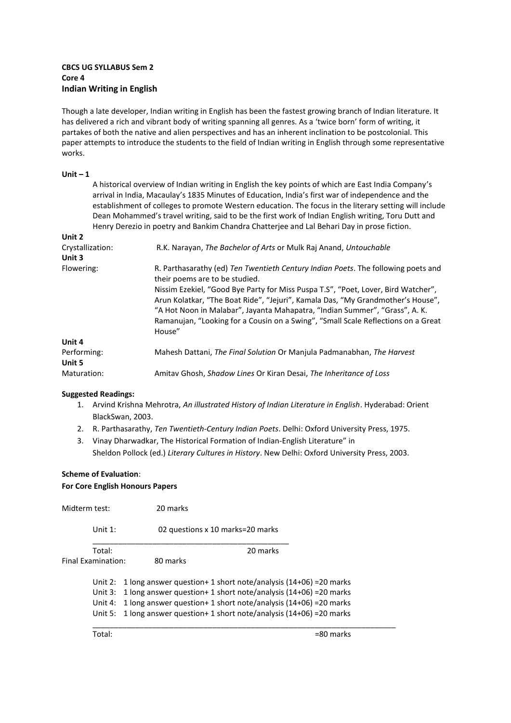## **CBCS UG SYLLABUS Sem 2 Core 4 Indian Writing in English**

Though a late developer, Indian writing in English has been the fastest growing branch of Indian literature. It has delivered a rich and vibrant body of writing spanning all genres. As a 'twice born' form of writing, it partakes of both the native and alien perspectives and has an inherent inclination to be postcolonial. This paper attempts to introduce the students to the field of Indian writing in English through some representative works.

## **Unit – 1**

A historical overview of Indian writing in English the key points of which are East India Company's arrival in India, Macaulay's 1835 Minutes of Education, India's first war of independence and the establishment of colleges to promote Western education. The focus in the literary setting will include Dean Mohammed's travel writing, said to be the first work of Indian English writing, Toru Dutt and Henry Derezio in poetry and Bankim Chandra Chatterjee and Lal Behari Day in prose fiction.

| Unit 2           |                                                                                                                                                                                                                                                                                                                                                    |
|------------------|----------------------------------------------------------------------------------------------------------------------------------------------------------------------------------------------------------------------------------------------------------------------------------------------------------------------------------------------------|
| Crystallization: | R.K. Narayan, The Bachelor of Arts or Mulk Raj Anand, Untouchable                                                                                                                                                                                                                                                                                  |
| Unit 3           |                                                                                                                                                                                                                                                                                                                                                    |
| Flowering:       | R. Parthasarathy (ed) Ten Twentieth Century Indian Poets. The following poets and<br>their poems are to be studied.                                                                                                                                                                                                                                |
|                  | Nissim Ezekiel, "Good Bye Party for Miss Puspa T.S", "Poet, Lover, Bird Watcher",<br>Arun Kolatkar, "The Boat Ride", "Jejuri", Kamala Das, "My Grandmother's House",<br>"A Hot Noon in Malabar", Jayanta Mahapatra, "Indian Summer", "Grass", A. K.<br>Ramanujan, "Looking for a Cousin on a Swing", "Small Scale Reflections on a Great<br>House" |
| Unit 4           |                                                                                                                                                                                                                                                                                                                                                    |
| Performing:      | Mahesh Dattani, The Final Solution Or Manjula Padmanabhan, The Harvest                                                                                                                                                                                                                                                                             |
| Unit 5           |                                                                                                                                                                                                                                                                                                                                                    |
| Maturation:      | Amitav Ghosh, Shadow Lines Or Kiran Desai, The Inheritance of Loss                                                                                                                                                                                                                                                                                 |

## **Suggested Readings:**

- 1. Arvind Krishna Mehrotra, *An illustrated History of Indian Literature in English*. Hyderabad: Orient BlackSwan, 2003.
- 2. R. Parthasarathy, *Ten Twentieth-Century Indian Poets*. Delhi: Oxford University Press, 1975.
- 3. Vinay Dharwadkar, The Historical Formation of Indian-English Literature" in Sheldon Pollock (ed.) *Literary Cultures in History*. New Delhi: Oxford University Press, 2003.

# **Scheme of Evaluation**: **For Core English Honours Papers**

| Midterm test: |                    | 20 marks                                                                    |
|---------------|--------------------|-----------------------------------------------------------------------------|
|               | Unit $1$ :         | 02 questions x 10 marks=20 marks                                            |
|               | Total:             | 20 marks                                                                    |
|               | Final Examination: | 80 marks                                                                    |
|               |                    | Unit 2: 1 long answer question + 1 short note/analysis $(14+06)$ = 20 marks |
|               |                    | Unit 3: 1 long answer question + 1 short note/analysis $(14+06)$ = 20 marks |
|               | Unit 4:            | 1 long answer question + 1 short note/analysis $(14+06)$ = 20 marks         |
|               |                    | Unit 5: 1 long answer question + 1 short note/analysis $(14+06)$ = 20 marks |
|               | Total:             | =80 marks                                                                   |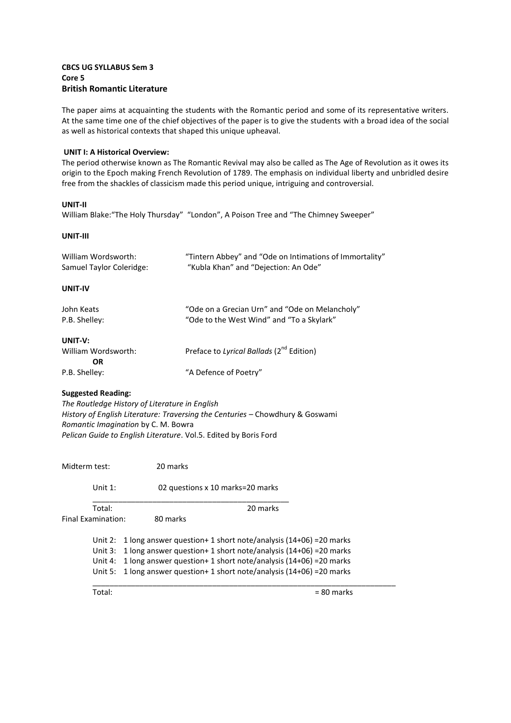## **CBCS UG SYLLABUS Sem 3 Core 5 British Romantic Literature**

The paper aims at acquainting the students with the Romantic period and some of its representative writers. At the same time one of the chief objectives of the paper is to give the students with a broad idea of the social as well as historical contexts that shaped this unique upheaval.

## **UNIT I: A Historical Overview:**

The period otherwise known as The Romantic Revival may also be called as The Age of Revolution as it owes its origin to the Epoch making French Revolution of 1789. The emphasis on individual liberty and unbridled desire free from the shackles of classicism made this period unique, intriguing and controversial.

## **UNIT-II**

William Blake: "The Holy Thursday" "London", A Poison Tree and "The Chimney Sweeper"

#### **UNIT-III**

| William Wordsworth:<br>Samuel Taylor Coleridge: | "Tintern Abbey" and "Ode on Intimations of Immortality"<br>"Kubla Khan" and "Dejection: An Ode" |  |
|-------------------------------------------------|-------------------------------------------------------------------------------------------------|--|
| UNIT-IV                                         |                                                                                                 |  |
| John Keats<br>P.B. Shelley:                     | "Ode on a Grecian Urn" and "Ode on Melancholy"<br>"Ode to the West Wind" and "To a Skylark"     |  |
| UNIT-V:<br>William Wordsworth:<br><b>OR</b>     | Preface to Lyrical Ballads (2 <sup>nd</sup> Edition)                                            |  |
| P.B. Shelley:                                   | "A Defence of Poetry"                                                                           |  |

## **Suggested Reading:**

*The Routledge History of Literature in English History of English Literature: Traversing the Centuries* – Chowdhury & Goswami *Romantic Imagination* by C. M. Bowra *Pelican Guide to English Literature*. Vol.5. Edited by Boris Ford

Midterm test: 20 marks Unit 1: 02 questions x 10 marks=20 marks \_\_\_\_\_\_\_\_\_\_\_\_\_\_\_\_\_\_\_\_\_\_\_\_\_\_\_\_\_\_\_\_\_\_\_\_\_\_\_\_\_\_\_\_\_\_ Total: 20 marks Final Examination: 80 marks Unit 2: 1 long answer question+ 1 short note/analysis (14+06) =20 marks Unit 3: 1 long answer question+ 1 short note/analysis (14+06) =20 marks Unit 4: 1 long answer question+ 1 short note/analysis (14+06) =20 marks Unit 5: 1 long answer question+ 1 short note/analysis (14+06) =20 marks  $\overline{\phantom{a}}$  , and the contribution of the contribution of the contribution of the contribution of the contribution of  $\overline{\phantom{a}}$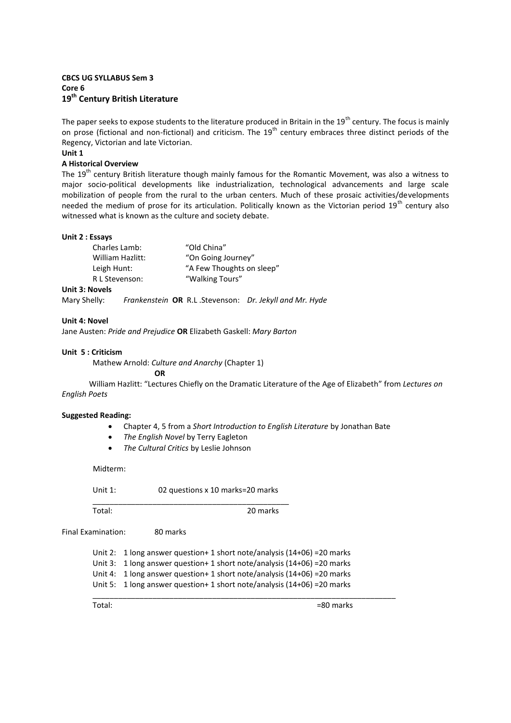# **CBCS UG SYLLABUS Sem 3 Core 6 19th Century British Literature**

The paper seeks to expose students to the literature produced in Britain in the  $19^{th}$  century. The focus is mainly on prose (fictional and non-fictional) and criticism. The 19<sup>th</sup> century embraces three distinct periods of the Regency, Victorian and late Victorian.

# **Unit 1**

# **A Historical Overview**

The 19<sup>th</sup> century British literature though mainly famous for the Romantic Movement, was also a witness to major socio-political developments like industrialization, technological advancements and large scale mobilization of people from the rural to the urban centers. Much of these prosaic activities/developments needed the medium of prose for its articulation. Politically known as the Victorian period 19<sup>th</sup> century also witnessed what is known as the culture and society debate.

#### **Unit 2 : Essays**

| Charles Lamb:    | "Old China"               |
|------------------|---------------------------|
| William Hazlitt: | "On Going Journey"        |
| Leigh Hunt:      | "A Few Thoughts on sleep" |
| R L Stevenson:   | "Walking Tours"           |
|                  |                           |

# **Unit 3: Novels**

Mary Shelly: *Frankenstein* **OR** R.L .Stevenson: *Dr. Jekyll and Mr. Hyde* 

#### **Unit 4: Novel**

Jane Austen: *Pride and Prejudice* **OR** Elizabeth Gaskell: *Mary Barton*

#### **Unit 5 : Criticism**

Mathew Arnold: *Culture and Anarchy* (Chapter 1)

**OR**

William Hazlitt: ͞Lectures Chiefly on the Dramatic Literature of the Age of Elizabeth͟ from *Lectures on English Poets*

## **Suggested Reading:**

- Chapter 4, 5 from a *Short Introduction to English Literature* by Jonathan Bate
- *The English Novel* by Terry Eagleton
- *The Cultural Critics* by Leslie Johnson

Midterm:

Unit 1: 02 questions x 10 marks=20 marks \_\_\_\_\_\_\_\_\_\_\_\_\_\_\_\_\_\_\_\_\_\_\_\_\_\_\_\_\_\_\_\_\_\_\_\_\_\_\_\_\_\_\_\_\_\_

Total: 20 marks

Final Examination: 80 marks

Unit 2: 1 long answer question+ 1 short note/analysis (14+06) =20 marks Unit 3: 1 long answer question+ 1 short note/analysis (14+06) =20 marks Unit 4: 1 long answer question+ 1 short note/analysis (14+06) =20 marks Unit 5: 1 long answer question+ 1 short note/analysis (14+06) =20 marks  $\overline{\phantom{a}}$  , and the contribution of the contribution of the contribution of the contribution of the contribution of  $\overline{\phantom{a}}$ 

Total:  $=80$  marks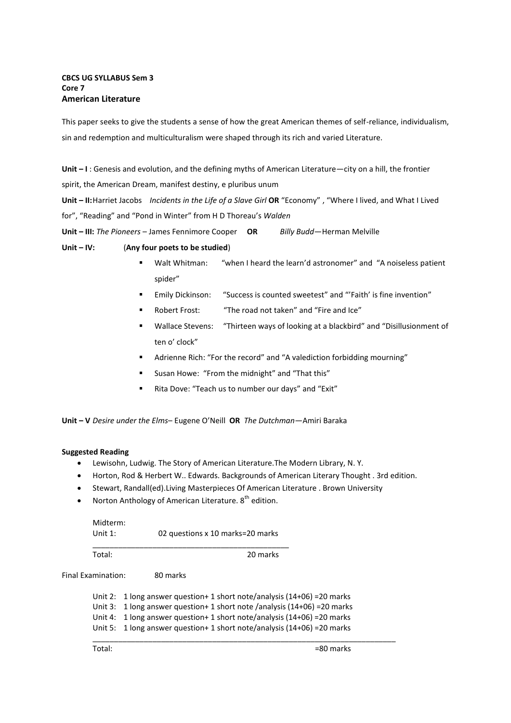# **CBCS UG SYLLABUS Sem 3 Core 7 American Literature**

This paper seeks to give the students a sense of how the great American themes of self-reliance, individualism, sin and redemption and multiculturalism were shaped through its rich and varied Literature.

**Unit – I** : Genesis and evolution, and the defining myths of American Literature—city on a hill, the frontier spirit, the American Dream, manifest destiny, e pluribus unum

**Unit – II:** Harriet Jacobs *Incidents in the Life of a Slave Girl* OR "Economy", "Where I lived, and What I Lived for", "Reading" and "Pond in Winter" from H D Thoreau's Walden

**Unit – III:** *The Pioneers* – James Fennimore Cooper **OR** *Billy Budd*—Herman Melville

**Unit – IV:** (**Any four poets to be studied**)

- Walt Whitman: "when I heard the learn'd astronomer" and "A noiseless patient spider"
- Emily Dickinson: "Success is counted sweetest" and "'Faith' is fine invention"
- Robert Frost: "The road not taken" and "Fire and Ice"
- Wallace Stevens: "Thirteen ways of looking at a blackbird" and "Disillusionment of ten o' clock"
- Adrienne Rich: "For the record" and "A valediction forbidding mourning"
- Susan Howe: "From the midnight" and "That this"
- Rita Dove: "Teach us to number our days" and "Exit"

**Unit – V** *Desire under the Elms*– Eugene O͛Neill **OR** *The Dutchman—*Amiri Baraka

## **Suggested Reading**

- Lewisohn, Ludwig. The Story of American Literature.The Modern Library, N. Y.
- Horton, Rod & Herbert W.. Edwards. Backgrounds of American Literary Thought . 3rd edition.
- Stewart, Randall(ed).Living Masterpieces Of American Literature . Brown University
- Norton Anthology of American Literature.  $8<sup>th</sup>$  edition.

| Midterm:   |                                  |
|------------|----------------------------------|
| Unit $1$ : | 02 questions x 10 marks=20 marks |
|            |                                  |

Total: 20 marks

Final Examination: 80 marks

Unit 2: 1 long answer question+ 1 short note/analysis (14+06) =20 marks Unit 3: 1 long answer question+ 1 short note /analysis (14+06) =20 marks Unit 4: 1 long answer question+ 1 short note/analysis (14+06) =20 marks Unit 5: 1 long answer question+ 1 short note/analysis (14+06) =20 marks \_\_\_\_\_\_\_\_\_\_\_\_\_\_\_\_\_\_\_\_\_\_\_\_\_\_\_\_\_\_\_\_\_\_\_\_\_\_\_\_\_\_\_\_\_\_\_\_\_\_\_\_\_\_\_\_\_\_\_\_\_\_\_\_\_\_\_\_\_\_\_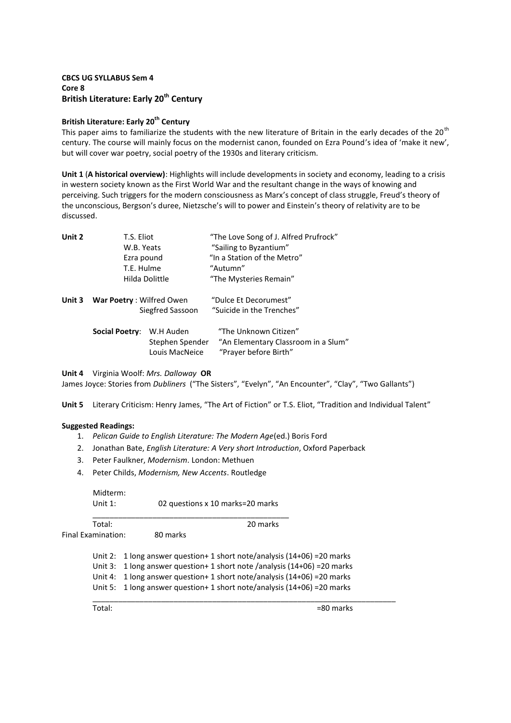# **CBCS UG SYLLABUS Sem 4 Core 8 British Literature: Early 20th Century**

## **British Literature: Early 20th Century**

This paper aims to familiarize the students with the new literature of Britain in the early decades of the 20<sup>th</sup> century. The course will mainly focus on the modernist canon, founded on Ezra Pound's idea of 'make it new', but will cover war poetry, social poetry of the 1930s and literary criticism.

**Unit 1** (**A historical overview)**: Highlights will include developments in society and economy, leading to a crisis in western society known as the First World War and the resultant change in the ways of knowing and perceiving. Such triggers for the modern consciousness as Marx's concept of class struggle, Freud's theory of the unconscious, Bergson's duree, Nietzsche's will to power and Einstein's theory of relativity are to be discussed.

| Unit 2 | T.S. Eliot                      |                                   | "The Love Song of J. Alfred Prufrock"                        |
|--------|---------------------------------|-----------------------------------|--------------------------------------------------------------|
|        | W.B. Yeats                      |                                   | "Sailing to Byzantium"                                       |
|        | Ezra pound<br>T.E. Hulme        |                                   | "In a Station of the Metro"<br>"Autumn"                      |
|        |                                 |                                   |                                                              |
|        |                                 | Hilda Dolittle                    | "The Mysteries Remain"                                       |
|        | Unit 3 War Poetry: Wilfred Owen |                                   | "Dulce Et Decorumest"                                        |
|        |                                 | Siegfred Sassoon                  | "Suicide in the Trenches"                                    |
|        | <b>Social Poetry:</b>           | W.H Auden                         | "The Unknown Citizen"                                        |
|        |                                 | Stephen Spender<br>Louis MacNeice | "An Elementary Classroom in a Slum"<br>"Prayer before Birth" |

## **Unit 4** Virginia Woolf: *Mrs. Dalloway* **OR**

James Joyce: Stories from *Dubliners* ("The Sisters", "Evelyn", "An Encounter", "Clay", "Two Gallants")

Unit 5 Literary Criticism: Henry James, "The Art of Fiction" or T.S. Eliot, "Tradition and Individual Talent"

## **Suggested Readings:**

- 1. *Pelican Guide to English Literature: The Modern Age*(ed.) Boris Ford
- 2. Jonathan Bate, *English Literature: A Very short Introduction*, Oxford Paperback
- 3. Peter Faulkner, *Modernism*. London: Methuen
- 4. Peter Childs, *Modernism, New Accents*. Routledge

| Midterm:  |                                  |
|-----------|----------------------------------|
| Unit $1:$ | 02 questions x 10 marks=20 marks |
|           |                                  |

Final Examination: 80 marks

Total: 20 marks

Unit 2: 1 long answer question+ 1 short note/analysis (14+06) =20 marks Unit 3: 1 long answer question+ 1 short note /analysis (14+06) =20 marks

Unit 4: 1 long answer question+ 1 short note/analysis (14+06) =20 marks

\_\_\_\_\_\_\_\_\_\_\_\_\_\_\_\_\_\_\_\_\_\_\_\_\_\_\_\_\_\_\_\_\_\_\_\_\_\_\_\_\_\_\_\_\_\_\_\_\_\_\_\_\_\_\_\_\_\_\_\_\_\_\_\_\_\_\_\_\_\_\_

Unit 5: 1 long answer question+ 1 short note/analysis (14+06) =20 marks

 $Total:$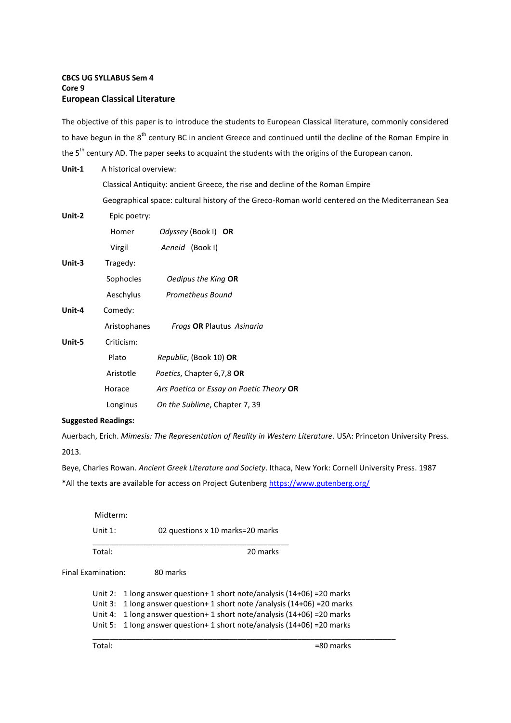# **CBCS UG SYLLABUS Sem 4 Core 9 European Classical Literature**

The objective of this paper is to introduce the students to European Classical literature, commonly considered to have begun in the 8<sup>th</sup> century BC in ancient Greece and continued until the decline of the Roman Empire in the 5<sup>th</sup> century AD. The paper seeks to acquaint the students with the origins of the European canon.

| Unit-1 | A historical overview: |                                                                                                 |
|--------|------------------------|-------------------------------------------------------------------------------------------------|
|        |                        | Classical Antiquity: ancient Greece, the rise and decline of the Roman Empire                   |
|        |                        | Geographical space: cultural history of the Greco-Roman world centered on the Mediterranean Sea |
| Unit-2 | Epic poetry:           |                                                                                                 |
|        | Homer                  | Odyssey (Book I) OR                                                                             |
|        | Virgil                 | Aeneid (Book I)                                                                                 |
| Unit-3 | Tragedy:               |                                                                                                 |
|        | Sophocles              | Oedipus the King OR                                                                             |
|        | Aeschylus              | Prometheus Bound                                                                                |
| Unit-4 | Comedy:                |                                                                                                 |
|        | Aristophanes           | Frogs OR Plautus Asinaria                                                                       |
| Unit-5 | Criticism:             |                                                                                                 |
|        | Plato                  | Republic, (Book 10) OR                                                                          |
|        | Aristotle              | Poetics, Chapter 6,7,8 OR                                                                       |
|        | Horace                 | Ars Poetica or Essay on Poetic Theory OR                                                        |
|        | Longinus               | On the Sublime, Chapter 7, 39                                                                   |
|        |                        |                                                                                                 |

# **Suggested Readings:**

Auerbach, Erich. *Mimesis: The Representation of Reality in Western Literature*. USA: Princeton University Press. 2013.

Beye, Charles Rowan. *Ancient Greek Literature and Society*. Ithaca, New York: Cornell University Press. 1987

\*All the texts are available for access on Project Gutenber[g https://www.gutenberg.org/](https://www.gutenberg.org/)

| Midterm:   |                                  |
|------------|----------------------------------|
| Unit $1$ : | 02 questions x 10 marks=20 marks |
| Total:     | 20 marks                         |

Final Examination: 80 marks

Unit 2: 1 long answer question+ 1 short note/analysis (14+06) =20 marks Unit 3: 1 long answer question+ 1 short note /analysis (14+06) =20 marks Unit 4: 1 long answer question+ 1 short note/analysis (14+06) =20 marks Unit 5: 1 long answer question+ 1 short note/analysis (14+06) =20 marks \_\_\_\_\_\_\_\_\_\_\_\_\_\_\_\_\_\_\_\_\_\_\_\_\_\_\_\_\_\_\_\_\_\_\_\_\_\_\_\_\_\_\_\_\_\_\_\_\_\_\_\_\_\_\_\_\_\_\_\_\_\_\_\_\_\_\_\_\_\_\_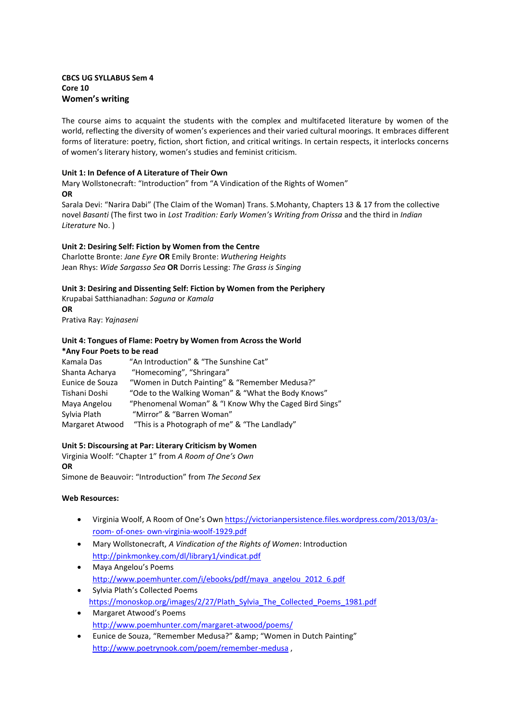# **CBCS UG SYLLABUS Sem 4 Core 10 Women's writing**

The course aims to acquaint the students with the complex and multifaceted literature by women of the world, reflecting the diversity of women's experiences and their varied cultural moorings. It embraces different forms of literature: poetry, fiction, short fiction, and critical writings. In certain respects, it interlocks concerns of women's literary history, women's studies and feminist criticism.

# **Unit 1: In Defence of A Literature of Their Own**

Mary Wollstonecraft: "Introduction" from "A Vindication of the Rights of Women" **OR**

Sarala Devi: "Narira Dabi" (The Claim of the Woman) Trans. S.Mohanty, Chapters 13 & 17 from the collective novel *Basanti* (The first two in *Lost Tradition: Early Women's Writing from Orissa* and the third in *Indian Literature* No. )

# **Unit 2: Desiring Self: Fiction by Women from the Centre**

Charlotte Bronte: *Jane Eyre* **OR** Emily Bronte: *Wuthering Heights*  Jean Rhys: *Wide Sargasso Sea* **OR** Dorris Lessing: *The Grass is Singing*

# **Unit 3: Desiring and Dissenting Self: Fiction by Women from the Periphery**

Krupabai Satthianadhan: *Saguna* or *Kamala*  **OR** Prativa Ray: *Yajnaseni* 

#### **Unit 4: Tongues of Flame: Poetry by Women from Across the World \*Any Four Poets to be read**

| Kamala Das      | "An Introduction" & "The Sunshine Cat"                 |
|-----------------|--------------------------------------------------------|
| Shanta Acharya  | "Homecoming", "Shringara"                              |
| Eunice de Souza | "Women in Dutch Painting" & "Remember Medusa?"         |
| Tishani Doshi   | "Ode to the Walking Woman" & "What the Body Knows"     |
| Maya Angelou    | "Phenomenal Woman" & "I Know Why the Caged Bird Sings" |
| Sylvia Plath    | "Mirror" & "Barren Woman"                              |
| Margaret Atwood | "This is a Photograph of me" & "The Landlady"          |
|                 |                                                        |

## **Unit 5: Discoursing at Par: Literary Criticism by Women**

Virginia Woolf: ͞Chapter 1͟ from *A Room of One's Own*  **OR**

Simone de Beauvoir: "Introduction" from *The Second Sex* 

## **Web Resources:**

- Virginia Woolf, A Room of One's Own [https://victorianpersistence.files.wordpress.com/2013/03/a](https://victorianpersistence.files.wordpress.com/2013/03/a-room-%20of-ones-%20own-virginia-woolf-1929.pdf)[room- of-ones- own-virginia-woolf-1929.pdf](https://victorianpersistence.files.wordpress.com/2013/03/a-room-%20of-ones-%20own-virginia-woolf-1929.pdf)
- Mary Wollstonecraft, *A Vindication of the Rights of Women*: Introduction <http://pinkmonkey.com/dl/library1/vindicat.pdf>
- Maya Angelou's Poems [http://www.poemhunter.com/i/ebooks/pdf/maya\\_angelou\\_2012\\_6.pdf](http://www.poemhunter.com/i/ebooks/pdf/maya_angelou_2012_6.pdf)
- Sylvia Plath's Collected Poems [https://monoskop.org/images/2/27/Plath\\_Sylvia\\_The\\_Collected\\_Poems\\_1981.pdf](https://monoskop.org/images/2/27/Plath_Sylvia_The_Collected_Poems_1981.pdf)
- Margaret Atwood's Poems <http://www.poemhunter.com/margaret-atwood/poems/>
- Eunice de Souza, "Remember Medusa?" & amp: "Women in Dutch Painting" [http://www.poetrynook.com/poem/remember-medusa ,](http://www.poetrynook.com/poem/remember-medusa)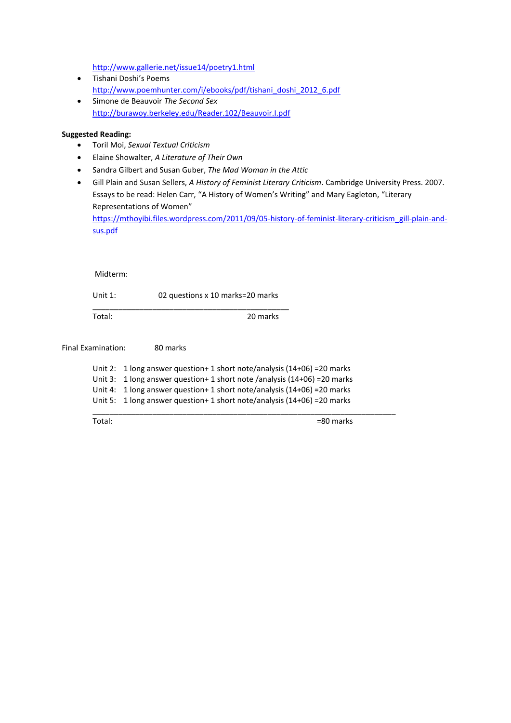<http://www.gallerie.net/issue14/poetry1.html>

- Tishani Doshi's Poems [http://www.poemhunter.com/i/ebooks/pdf/tishani\\_doshi\\_2012\\_6.pdf](http://www.poemhunter.com/i/ebooks/pdf/tishani_doshi_2012_6.pdf)
- Simone de Beauvoir *The Second Sex* <http://burawoy.berkeley.edu/Reader.102/Beauvoir.I.pdf>

#### **Suggested Reading:**

- Toril Moi, *Sexual Textual Criticism*
- Elaine Showalter, *A Literature of Their Own*
- Sandra Gilbert and Susan Guber, *The Mad Woman in the Attic*
- Gill Plain and Susan Sellers, *A History of Feminist Literary Criticism*. Cambridge University Press. 2007. Essays to be read: Helen Carr, "A History of Women's Writing" and Mary Eagleton, "Literary Representations of Women"

[https://mthoyibi.files.wordpress.com/2011/09/05-history-of-feminist-literary-criticism\\_gill-plain-and](https://mthoyibi.files.wordpress.com/2011/09/05-history-of-feminist-literary-criticism_gill-plain-and-sus.pdf)[sus.pdf](https://mthoyibi.files.wordpress.com/2011/09/05-history-of-feminist-literary-criticism_gill-plain-and-sus.pdf)

Midterm:

Unit 1: 02 questions x 10 marks=20 marks

\_\_\_\_\_\_\_\_\_\_\_\_\_\_\_\_\_\_\_\_\_\_\_\_\_\_\_\_\_\_\_\_\_\_\_\_\_\_\_\_\_\_\_\_\_\_

Total: 20 marks

Final Examination: 80 marks Unit 2: 1 long answer question+ 1 short note/analysis (14+06) =20 marks Unit 3: 1 long answer question+ 1 short note /analysis (14+06) =20 marks Unit 4: 1 long answer question+ 1 short note/analysis (14+06) =20 marks Unit 5: 1 long answer question+ 1 short note/analysis (14+06) =20 marks  $\overline{\phantom{a}}$  , and the contribution of the contribution of the contribution of the contribution of the contribution of  $\overline{\phantom{a}}$ 

Total:  $=80$  marks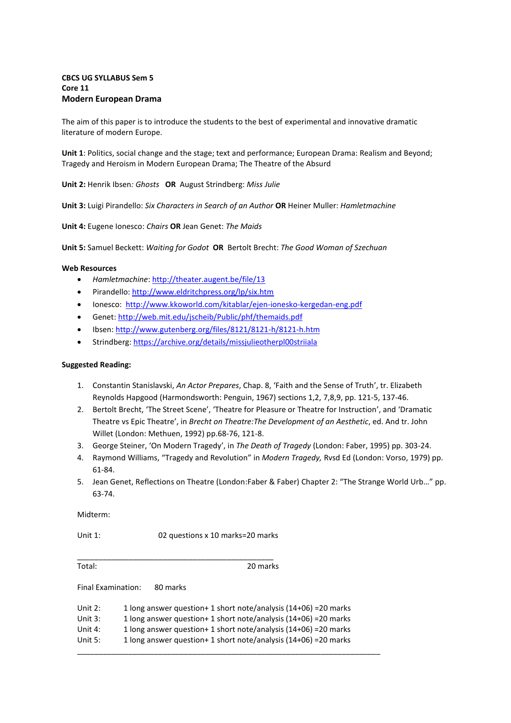# **CBCS UG SYLLABUS Sem 5 Core 11 Modern European Drama**

The aim of this paper is to introduce the students to the best of experimental and innovative dramatic literature of modern Europe.

**Unit 1**: Politics, social change and the stage; text and performance; European Drama: Realism and Beyond; Tragedy and Heroism in Modern European Drama; The Theatre of the Absurd

**Unit 2:** Henrik Ibsen*: Ghosts* **OR** August Strindberg: *Miss Julie* 

**Unit 3:** Luigi Pirandello: *Six Characters in Search of an Author* **OR** Heiner Muller: *Hamletmachine* 

**Unit 4:** Eugene Ionesco: *Chairs* **OR** Jean Genet: *The Maids* 

**Unit 5:** Samuel Beckett: *Waiting for Godot* **OR** Bertolt Brecht: *The Good Woman of Szechuan* 

#### **Web Resources**

- *Hamletmachine*[: http://theater.augent.be/file/13](http://theater.augent.be/file/13)
- Pirandello:<http://www.eldritchpress.org/lp/six.htm>
- Ionesco:<http://www.kkoworld.com/kitablar/ejen-ionesko-kergedan-eng.pdf>
- Genet:<http://web.mit.edu/jscheib/Public/phf/themaids.pdf>
- Ibsen:<http://www.gutenberg.org/files/8121/8121-h/8121-h.htm>
- Strindberg[: https://archive.org/details/missjulieotherpl00striiala](https://archive.org/details/missjulieotherpl00striiala)

#### **Suggested Reading:**

- 1. Constantin Stanislavski, *An Actor Prepares*, Chap. 8, 'Faith and the Sense of Truth', tr. Elizabeth Reynolds Hapgood (Harmondsworth: Penguin, 1967) sections 1,2, 7,8,9, pp. 121-5, 137-46.
- 2. Bertolt Brecht, 'The Street Scene', 'Theatre for Pleasure or Theatre for Instruction', and 'Dramatic Theatre vs Epic Theatre͛, in *Brecht on Theatre:The Development of an Aesthetic*, ed. And tr. John Willet (London: Methuen, 1992) pp.68-76, 121-8.
- 3. George Steiner, 'On Modern Tragedy', in The Death of Tragedy (London: Faber, 1995) pp. 303-24.
- 4. Raymond Williams, "Tragedy and Revolution" in *Modern Tragedy*, Rvsd Ed (London: Vorso, 1979) pp. 61-84.
- 5. Jean Genet, Reflections on Theatre (London:Faber & Faber) Chapter 2: "The Strange World Urb..." pp. 63-74.

Midterm:

Unit 1: 02 questions x 10 marks=20 marks

\_\_\_\_\_\_\_\_\_\_\_\_\_\_\_\_\_\_\_\_\_\_\_\_\_\_\_\_\_\_\_\_\_\_\_\_\_\_\_\_\_\_\_\_\_\_ Total: 20 marks

Final Examination: 80 marks

| Unit $2:$ | 1 long answer question + 1 short note/analysis $(14+06)$ = 20 marks |
|-----------|---------------------------------------------------------------------|
| Unit 3:   | 1 long answer question + 1 short note/analysis $(14+06)$ = 20 marks |
| Unit 4:   | 1 long answer question + 1 short note/analysis $(14+06)$ = 20 marks |
| Unit 5:   | 1 long answer question + 1 short note/analysis $(14+06)$ = 20 marks |
|           |                                                                     |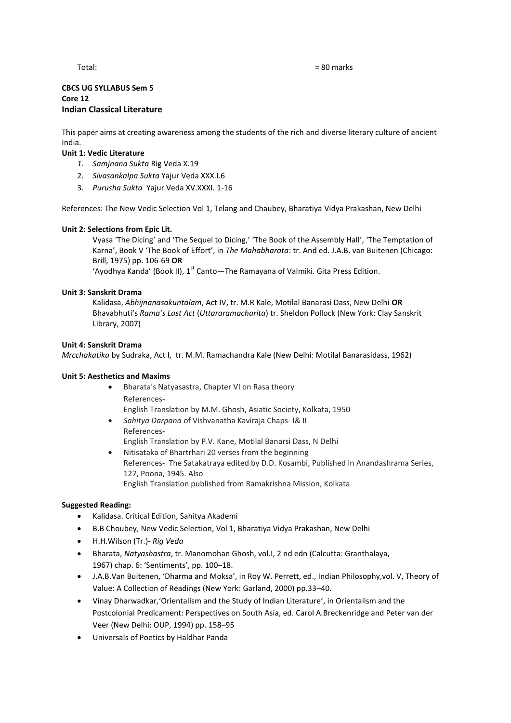#### Total: = 80 marks

## **CBCS UG SYLLABUS Sem 5 Core 12 Indian Classical Literature**

This paper aims at creating awareness among the students of the rich and diverse literary culture of ancient India.

# **Unit 1: Vedic Literature**

- *1. Samjnana Sukta* Rig Veda X.19
- 2. *Sivasankalpa Sukta* Yajur Veda XXX.I.6
- 3. *Purusha Sukta* Yajur Veda XV.XXXI. 1-16

References: The New Vedic Selection Vol 1, Telang and Chaubey, Bharatiya Vidya Prakashan, New Delhi

## **Unit 2: Selections from Epic Lit.**

Vyasa 'The Dicing' and 'The Sequel to Dicing,' 'The Book of the Assembly Hall', 'The Temptation of Karna', Book V 'The Book of Effort', in *The Mahabharata*: tr. And ed. J.A.B. van Buitenen (Chicago: Brill, 1975) pp. 106-69 **OR**

'Ayodhya Kanda' (Book II),  $1^{st}$  Canto—The Ramayana of Valmiki. Gita Press Edition.

# **Unit 3: Sanskrit Drama**

Kalidasa, *Abhijnanasakuntalam*, Act IV, tr. M.R Kale, Motilal Banarasi Dass, New Delhi **OR** Bhavabhuti͛s *Rama's Last Act* (*Uttararamacharita*) tr. Sheldon Pollock (New York: Clay Sanskrit Library, 2007)

## **Unit 4: Sanskrit Drama**

*Mrcchakatika* by Sudraka, Act I, tr. M.M. Ramachandra Kale (New Delhi: Motilal Banarasidass, 1962)

## **Unit 5: Aesthetics and Maxims**

- Bharata's Natyasastra, Chapter VI on Rasa theory References-English Translation by M.M. Ghosh, Asiatic Society, Kolkata, 1950
- *Sahitya Darpana* of Vishvanatha Kaviraja Chaps- I& II References-English Translation by P.V. Kane, Motilal Banarsi Dass, N Delhi
- Nitisataka of Bhartrhari 20 verses from the beginning References- The Satakatraya edited by D.D. Kosambi, Published in Anandashrama Series, 127, Poona, 1945. Also English Translation published from Ramakrishna Mission, Kolkata

# **Suggested Reading:**

- Kalidasa. Critical Edition, Sahitya Akademi
- B.B Choubey, New Vedic Selection, Vol 1, Bharatiya Vidya Prakashan, New Delhi
- H.H.Wilson (Tr.)- *Rig Veda*
- Bharata, *Natyashastra*, tr. Manomohan Ghosh, vol.I, 2 nd edn (Calcutta: Granthalaya, 1967) chap. 6: 'Sentiments', pp. 100-18.
- J.A.B.Van Buitenen, 'Dharma and Moksa', in Roy W. Perrett, ed., Indian Philosophy,vol. V, Theory of Value: A Collection of Readings (New York: Garland, 2000) pp.33–40.
- Vinay Dharwadkar, 'Orientalism and the Study of Indian Literature', in Orientalism and the Postcolonial Predicament: Perspectives on South Asia, ed. Carol A.Breckenridge and Peter van der Veer (New Delhi: OUP, 1994) pp. 158–95
- Universals of Poetics by Haldhar Panda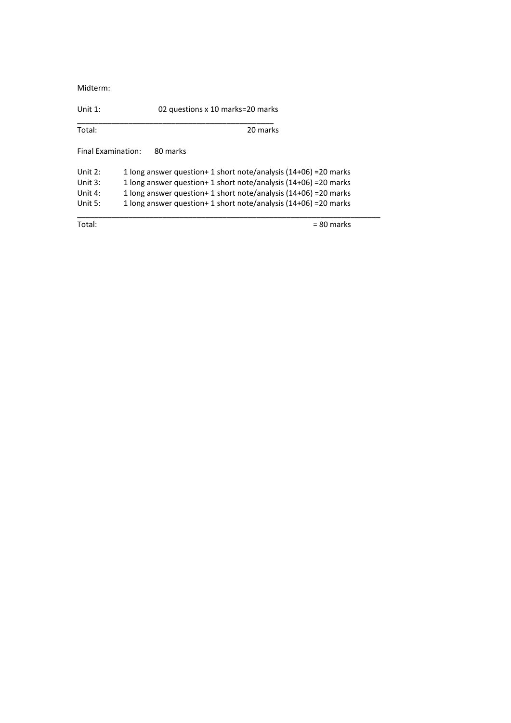Midterm:

Unit 1: 02 questions x 10 marks=20 marks

| Total:             | 20 marks                                                         |
|--------------------|------------------------------------------------------------------|
| Final Examination: | 80 marks                                                         |
| Unit $2:$          | 1 long answer question+ 1 short note/analysis (14+06) = 20 marks |
| Unit $3:$          | 1 long answer question+ 1 short note/analysis (14+06) = 20 marks |
| Unit 4:            | 1 long answer question+ 1 short note/analysis (14+06) = 20 marks |
| Unit $5:$          | 1 long answer question+ 1 short note/analysis (14+06) = 20 marks |
| Total:             | $= 80$ marks                                                     |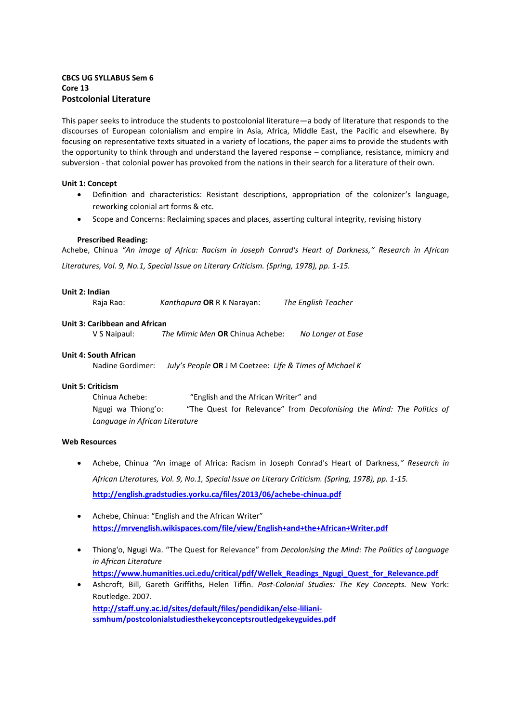# **CBCS UG SYLLABUS Sem 6 Core 13 Postcolonial Literature**

This paper seeks to introduce the students to postcolonial literature—a body of literature that responds to the discourses of European colonialism and empire in Asia, Africa, Middle East, the Pacific and elsewhere. By focusing on representative texts situated in a variety of locations, the paper aims to provide the students with the opportunity to think through and understand the layered response – compliance, resistance, mimicry and subversion - that colonial power has provoked from the nations in their search for a literature of their own.

## **Unit 1: Concept**

- Definition and characteristics: Resistant descriptions, appropriation of the colonizer's language, reworking colonial art forms & etc.
- Scope and Concerns: Reclaiming spaces and places, asserting cultural integrity, revising history

#### **Prescribed Reading:**

Achebe, Chinua *͞An image of Africa: Racism in Joseph Conrad's Heart of Darkness,͟ Research in African Literatures, Vol. 9, No.1, Special Issue on Literary Criticism. (Spring, 1978), pp. 1-15.*

#### **Unit 2: Indian** Raja Rao: *Kanthapura* **OR** R K Narayan: *The English Teacher*

#### **Unit 3: Caribbean and African**

V S Naipaul: *The Mimic Men* **OR** Chinua Achebe: *No Longer at Ease* 

#### **Unit 4: South African**

Nadine Gordimer: *July's People* **OR** J M Coetzee: *Life & Times of Michael K*

## **Unit 5: Criticism**

Chinua Achebe: "English and the African Writer" and Ngugi wa Thiong'o: "The Quest for Relevance" from *Decolonising the Mind: The Politics of Language in African Literature* 

#### **Web Resources**

- Achebe, Chinua *͞*An image of Africa: Racism in Joseph Conrad's Heart of Darkness*,͟ Research in African Literatures, Vol. 9, No.1, Special Issue on Literary Criticism. (Spring, 1978), pp. 1-15.*  **<http://english.gradstudies.yorku.ca/files/2013/06/achebe-chinua.pdf>**
- Achebe, Chinua: "English and the African Writer" **<https://mrvenglish.wikispaces.com/file/view/English+and+the+African+Writer.pdf>**
- Thiong'o, Ngugi Wa. "The Quest for Relevance" from *Decolonising the Mind: The Politics of Language in African Literature*  **[https://www.humanities.uci.edu/critical/pdf/Wellek\\_Readings\\_Ngugi\\_Quest\\_for\\_Relevance.pdf](https://www.humanities.uci.edu/critical/pdf/Wellek_Readings_Ngugi_Quest_for_Relevance.pdf)**
- Ashcroft, Bill, Gareth Griffiths, Helen Tiffin. *Post-Colonial Studies: The Key Concepts.* New York: Routledge. 2007. **[http://staff.uny.ac.id/sites/default/files/pendidikan/else-liliani](http://staff.uny.ac.id/sites/default/files/pendidikan/else-liliani-ssmhum/postcolonialstudiesthekeyconceptsroutledgekeyguides.pdf)[ssmhum/postcolonialstudiesthekeyconceptsroutledgekeyguides.pdf](http://staff.uny.ac.id/sites/default/files/pendidikan/else-liliani-ssmhum/postcolonialstudiesthekeyconceptsroutledgekeyguides.pdf)**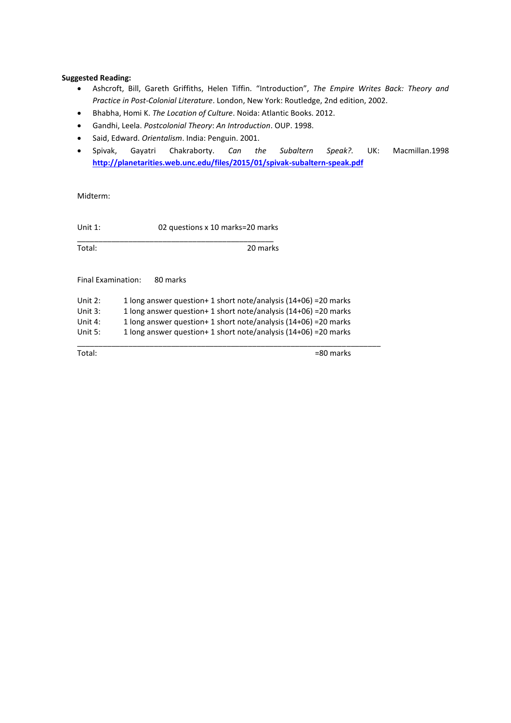#### **Suggested Reading:**

- Ashcroft, Bill, Gareth Griffiths, Helen Tiffin. "Introduction", The Empire Writes Back: Theory and *Practice in Post-Colonial Literature*. London, New York: Routledge, 2nd edition, 2002.
- Bhabha, Homi K. *The Location of Culture*. Noida: Atlantic Books. 2012.
- Gandhi, Leela. *Postcolonial Theory*: *An Introduction*. OUP. 1998.
- Said, Edward. *Orientalism*. India: Penguin. 2001.
- Spivak, Gayatri Chakraborty. *Can the Subaltern Speak?.* UK: Macmillan.1998 **<http://planetarities.web.unc.edu/files/2015/01/spivak-subaltern-speak.pdf>**

Midterm:

Unit 1: 02 questions x 10 marks=20 marks

\_\_\_\_\_\_\_\_\_\_\_\_\_\_\_\_\_\_\_\_\_\_\_\_\_\_\_\_\_\_\_\_\_\_\_\_\_\_\_\_\_\_\_\_\_\_

Total: 20 marks

Final Examination: 80 marks

| Unit $2:$ | 1 long answer question + 1 short note/analysis $(14+06)$ = 20 marks |
|-----------|---------------------------------------------------------------------|
| Unit $3:$ | 1 long answer question + 1 short note/analysis $(14+06)$ = 20 marks |
| Unit 4:   | 1 long answer question+ 1 short note/analysis (14+06) = 20 marks    |
| Unit $5:$ | 1 long answer question + 1 short note/analysis $(14+06)$ = 20 marks |

\_\_\_\_\_\_\_\_\_\_\_\_\_\_\_\_\_\_\_\_\_\_\_\_\_\_\_\_\_\_\_\_\_\_\_\_\_\_\_\_\_\_\_\_\_\_\_\_\_\_\_\_\_\_\_\_\_\_\_\_\_\_\_\_\_\_\_\_\_\_\_

Total:  $=80$  marks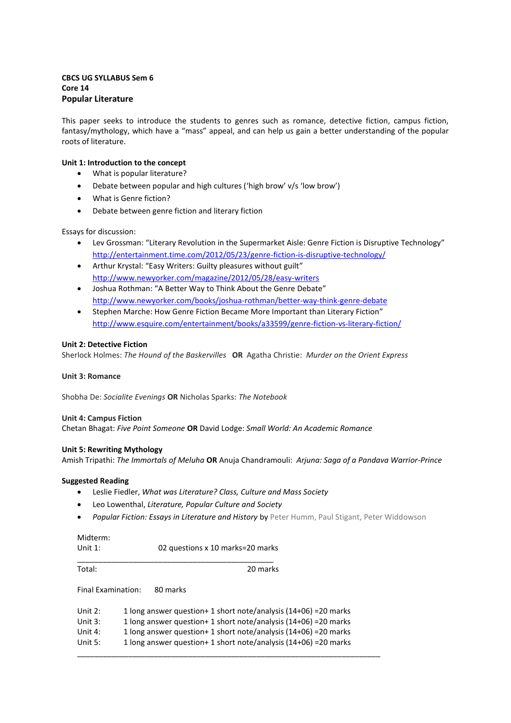# **CBCS UG SYLLABUS Sem 6 Core 14 Popular Literature**

This paper seeks to introduce the students to genres such as romance, detective fiction, campus fiction, fantasy/mythology, which have a "mass" appeal, and can help us gain a better understanding of the popular roots of literature.

## **Unit 1: Introduction to the concept**

- What is popular literature?
- Debate between popular and high cultures ('high brow' v/s 'low brow')
- What is Genre fiction?
- Debate between genre fiction and literary fiction

Essays for discussion:

- Lev Grossman: "Literary Revolution in the Supermarket Aisle: Genre Fiction is Disruptive Technology" <http://entertainment.time.com/2012/05/23/genre-fiction-is-disruptive-technology/>
- Arthur Krystal: "Easy Writers: Guilty pleasures without guilt" <http://www.newyorker.com/magazine/2012/05/28/easy-writers>
- Joshua Rothman: "A Better Way to Think About the Genre Debate" <http://www.newyorker.com/books/joshua-rothman/better-way-think-genre-debate>
- Stephen Marche: How Genre Fiction Became More Important than Literary Fiction" <http://www.esquire.com/entertainment/books/a33599/genre-fiction-vs-literary-fiction/>

## **Unit 2: Detective Fiction**

Sherlock Holmes: *The Hound of the Baskervilles* **OR** Agatha Christie: *Murder on the Orient Express*

## **Unit 3: Romance**

Shobha De: *Socialite Evenings* **OR** Nicholas Sparks: *The Notebook* 

## **Unit 4: Campus Fiction**

Chetan Bhagat: *Five Point Someone* **OR** David Lodge: *Small World: An Academic Romance* 

## **Unit 5: Rewriting Mythology**

Amish Tripathi: *The Immortals of Meluha* **OR** Anuja Chandramouli: *Arjuna: Saga of a Pandava Warrior-Prince*

## **Suggested Reading**

- Leslie Fiedler, *What was Literature? Class, Culture and Mass Society*
- Leo Lowenthal, *Literature, Popular Culture and Society*
- *Popular Fiction: Essays in Literature and History* by Peter Humm, Paul Stigant, Peter Widdowson

Unit 1: 02 questions x 10 marks=20 marks

\_\_\_\_\_\_\_\_\_\_\_\_\_\_\_\_\_\_\_\_\_\_\_\_\_\_\_\_\_\_\_\_\_\_\_\_\_\_\_\_\_\_\_\_\_\_

Total: 20 marks

Final Examination: 80 marks

| Unit 2: | 1 long answer question + 1 short note/analysis $(14+06)$ = 20 marks |
|---------|---------------------------------------------------------------------|
| Unit 3: | 1 long answer question + 1 short note/analysis $(14+06)$ = 20 marks |
| Unit 4: | 1 long answer question + 1 short note/analysis $(14+06)$ = 20 marks |
| Unit 5: | 1 long answer question + 1 short note/analysis $(14+06)$ = 20 marks |
|         |                                                                     |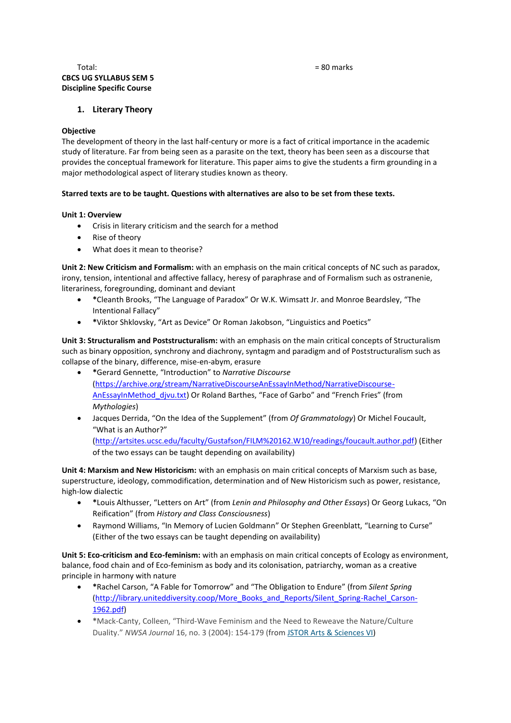# Total: = 80 marks **CBCS UG SYLLABUS SEM 5 Discipline Specific Course**

# **1. Literary Theory**

#### **Objective**

The development of theory in the last half-century or more is a fact of critical importance in the academic study of literature. Far from being seen as a parasite on the text, theory has been seen as a discourse that provides the conceptual framework for literature. This paper aims to give the students a firm grounding in a major methodological aspect of literary studies known as theory.

## **Starred texts are to be taught. Questions with alternatives are also to be set from these texts.**

## **Unit 1: Overview**

- Crisis in literary criticism and the search for a method
- Rise of theory
- What does it mean to theorise?

**Unit 2: New Criticism and Formalism:** with an emphasis on the main critical concepts of NC such as paradox, irony, tension, intentional and affective fallacy, heresy of paraphrase and of Formalism such as ostranenie, literariness, foregrounding, dominant and deviant

- **\*** Cleanth Brooks, "The Language of Paradox" Or W.K. Wimsatt Jr. and Monroe Beardsley, "The Intentional Fallacy"
- **\***Viktor Shklovsky, ͞Art as Device͟ Or Roman Jakobson, ͞Linguistics and Poetics͟

**Unit 3: Structuralism and Poststructuralism:** with an emphasis on the main critical concepts of Structuralism such as binary opposition, synchrony and diachrony, syntagm and paradigm and of Poststructuralism such as collapse of the binary, difference, mise-en-abym, erasure

- **\***Gerard Gennette, ͞Introduction͟ to *Narrative Discourse* [\(https://archive.org/stream/NarrativeDiscourseAnEssayInMethod/NarrativeDiscourse-](https://archive.org/stream/NarrativeDiscourseAnEssayInMethod/NarrativeDiscourse-AnEssayInMethod_djvu.txt)[AnEssayInMethod\\_djvu.txt\)](https://archive.org/stream/NarrativeDiscourseAnEssayInMethod/NarrativeDiscourse-AnEssayInMethod_djvu.txt) Or Roland Barthes, "Face of Garbo" and "French Fries" (from *Mythologies*)
- Jacques Derrida, "On the Idea of the Supplement" (from *Of Grammatology*) Or Michel Foucault, ͞What is an Author?͟ [\(http://artsites.ucsc.edu/faculty/Gustafson/FILM%20162.W10/readings/foucault.author.pdf\)](http://artsites.ucsc.edu/faculty/Gustafson/FILM%20162.W10/readings/foucault.author.pdf) (Either of the two essays can be taught depending on availability)

**Unit 4: Marxism and New Historicism:** with an emphasis on main critical concepts of Marxism such as base, superstructure, ideology, commodification, determination and of New Historicism such as power, resistance, high-low dialectic

- **\***Louis Althusser, ͞Letters on Art͟ (from *Lenin and Philosophy and Other Essays*) Or Georg Lukacs, ͞On Reification͟ (from *History and Class Consciousness*)
- Raymond Williams, "In Memory of Lucien Goldmann" Or Stephen Greenblatt, "Learning to Curse" (Either of the two essays can be taught depending on availability)

**Unit 5: Eco-criticism and Eco-feminism:** with an emphasis on main critical concepts of Ecology as environment, balance, food chain and of Eco-feminism as body and its colonisation, patriarchy, woman as a creative principle in harmony with nature

- **\***Rachel Carson, ͞A Fable for Tomorrow͟ and ͞The Obligation to Endure͟ (from *Silent Spring* [\(http://library.uniteddiversity.coop/More\\_Books\\_and\\_Reports/Silent\\_Spring-Rachel\\_Carson-](http://library.uniteddiversity.coop/More_Books_and_Reports/Silent_Spring-Rachel_Carson-1962.pdf)[1962.pdf\)](http://library.uniteddiversity.coop/More_Books_and_Reports/Silent_Spring-Rachel_Carson-1962.pdf)
- **\*** \*Mack-Canty, Colleen, "Third-Wave Feminism and the Need to Reweave the Nature/Culture Duality.͟ *NWSA Journal* 16, no. 3 (2004): 154-179 (from [JSTOR Arts & Sciences VI\)](http://gw2jh3xr2c.search.serialssolutions.com/log?L=GW2JH3XR2C&D=JAB&P=Link&U=http%3A%2F%2Fezproxy.library.ubc.ca%2Flogin%3Furl%3Dhttp%3A%2F%2Fwww.jstor.org%2Fsearch)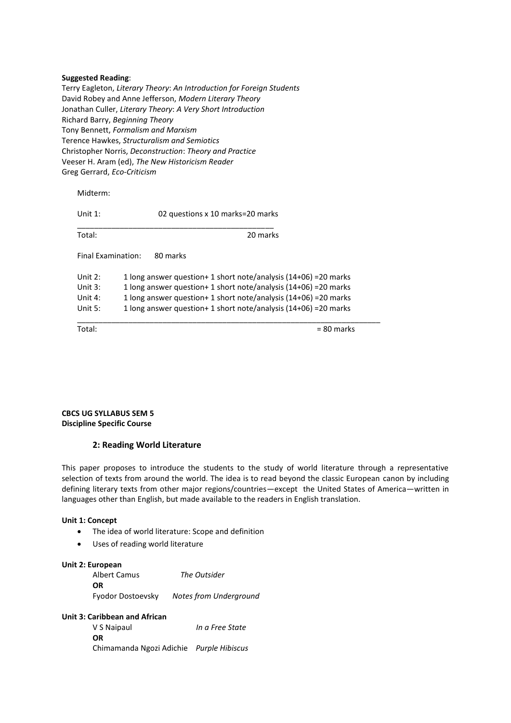#### **Suggested Reading**:

Terry Eagleton, *Literary Theory*: *An Introduction for Foreign Students* David Robey and Anne Jefferson, *Modern Literary Theory* Jonathan Culler, *Literary Theory*: *A Very Short Introduction* Richard Barry, *Beginning Theory* Tony Bennett, *Formalism and Marxism* Terence Hawkes, *Structuralism and Semiotics* Christopher Norris, *Deconstruction*: *Theory and Practice* Veeser H. Aram (ed), *The New Historicism Reader* Greg Gerrard, *Eco-Criticism*

Midterm: Unit 1: 02 questions x 10 marks=20 marks \_\_\_\_\_\_\_\_\_\_\_\_\_\_\_\_\_\_\_\_\_\_\_\_\_\_\_\_\_\_\_\_\_\_\_\_\_\_\_\_\_\_\_\_\_\_ Total: 20 marks Final Examination: 80 marks Unit 2: 1 long answer question+ 1 short note/analysis (14+06) = 20 marks Unit 3: 1 long answer question+ 1 short note/analysis (14+06) = 20 marks Unit 4: 1 long answer question+ 1 short note/analysis (14+06) = 20 marks Unit 5: 1 long answer question+ 1 short note/analysis (14+06) =20 marks \_\_\_\_\_\_\_\_\_\_\_\_\_\_\_\_\_\_\_\_\_\_\_\_\_\_\_\_\_\_\_\_\_\_\_\_\_\_\_\_\_\_\_\_\_\_\_\_\_\_\_\_\_\_\_\_\_\_\_\_\_\_\_\_\_\_\_\_\_\_\_  $Total:$   $= 80$  marks

**CBCS UG SYLLABUS SEM 5** 

**Discipline Specific Course** 

## **2: Reading World Literature**

This paper proposes to introduce the students to the study of world literature through a representative selection of texts from around the world. The idea is to read beyond the classic European canon by including defining literary texts from other major regions/countries—except the United States of America—written in languages other than English, but made available to the readers in English translation.

#### **Unit 1: Concept**

- The idea of world literature: Scope and definition
- Uses of reading world literature

#### **Unit 2: European**

| Albert Camus      | The Outsider                  |
|-------------------|-------------------------------|
| OR.               |                               |
| Fyodor Dostoevsky | <b>Notes from Underground</b> |

#### **Unit 3: Caribbean and African**

V S Naipaul *In a Free State*  **OR** Chimamanda Ngozi Adichie *Purple Hibiscus*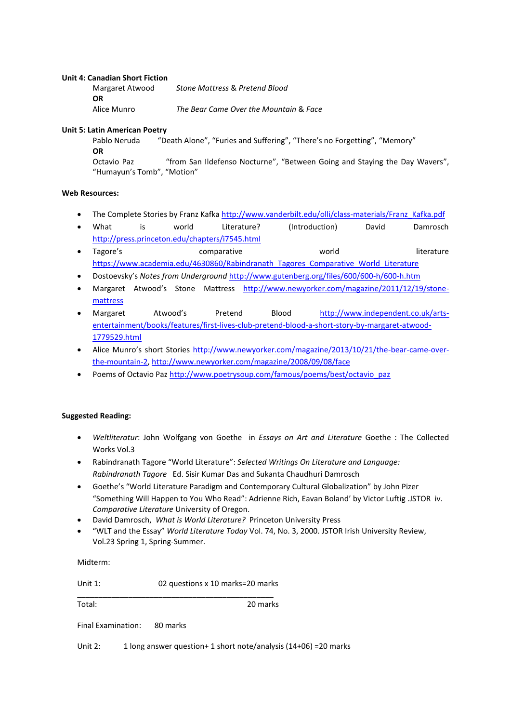#### **Unit 4: Canadian Short Fiction**

| Margaret Atwood | Stone Mattress & Pretend Blood         |
|-----------------|----------------------------------------|
| <b>OR</b>       |                                        |
| Alice Munro     | The Bear Came Over the Mountain & Face |

#### **Unit 5: Latin American Poetry**

Pablo Neruda 
"Death Alone", "Furies and Suffering", "There's no Forgetting", "Memory" **OR**

Octavio Paz "from San Ildefenso Nocturne", "Between Going and Staying the Day Wavers", "Humayun's Tomb", "Motion"

## **Web Resources:**

- The Complete Stories by Franz Kafka [http://www.vanderbilt.edu/olli/class-materials/Franz\\_Kafka.pdf](http://www.vanderbilt.edu/olli/class-materials/Franz_Kafka.pdf)
- What is world Literature? (Introduction) David Damrosch <http://press.princeton.edu/chapters/i7545.html>
- Tagore's comparative world world literature [https://www.academia.edu/4630860/Rabindranath\\_Tagores\\_Comparative\\_World\\_Literature](https://www.academia.edu/4630860/Rabindranath_Tagores_Comparative_World_Literature)
- Dostoevsky's Notes from Underground <http://www.gutenberg.org/files/600/600-h/600-h.htm>
- Margaret Atwood͛s Stone Mattress [http://www.newyorker.com/magazine/2011/12/19/stone](http://www.newyorker.com/magazine/2011/12/19/stone-mattress)[mattress](http://www.newyorker.com/magazine/2011/12/19/stone-mattress)
- Margaret Atwood's Pretend Blood [http://www.independent.co.uk/arts](http://www.independent.co.uk/arts-entertainment/books/features/first-lives-club-pretend-blood-a-short-story-by-margaret-atwood-1779529.html)[entertainment/books/features/first-lives-club-pretend-blood-a-short-story-by-margaret-atwood-](http://www.independent.co.uk/arts-entertainment/books/features/first-lives-club-pretend-blood-a-short-story-by-margaret-atwood-1779529.html)[1779529.html](http://www.independent.co.uk/arts-entertainment/books/features/first-lives-club-pretend-blood-a-short-story-by-margaret-atwood-1779529.html)
- Alice Munro's short Stories [http://www.newyorker.com/magazine/2013/10/21/the-bear-came-over](http://www.newyorker.com/magazine/2013/10/21/the-bear-came-over-the-mountain-2)[the-mountain-2,](http://www.newyorker.com/magazine/2013/10/21/the-bear-came-over-the-mountain-2)<http://www.newyorker.com/magazine/2008/09/08/face>
- Poems of Octavio Pa[z http://www.poetrysoup.com/famous/poems/best/octavio\\_paz](http://www.poetrysoup.com/famous/poems/best/octavio_paz)

## **Suggested Reading:**

- *Weltliteratur*: John Wolfgang von Goethe in *Essays on Art and Literature* Goethe : The Collected Works Vol.3
- Rabindranath Tagore ͞World Literature͟: *Selected Writings On Literature and Language: Rabindranath Tagore* Ed. Sisir Kumar Das and Sukanta Chaudhuri Damrosch
- Goethe's "World Literature Paradigm and Contemporary Cultural Globalization" by John Pizer ͞Something Will Happen to You Who Read͟: Adrienne Rich, Eavan Boland͛ by Victor Luftig .JSTOR iv. *Comparative Literature* University of Oregon.
- David Damrosch, *What is World Literature?* Princeton University Press
- ͞WLT and the Essay͟ *World Literature Today* Vol. 74, No. 3, 2000. JSTOR Irish University Review, Vol.23 Spring 1, Spring-Summer.

Midterm:

Unit 1: 02 questions x 10 marks=20 marks

Total: 20 marks

\_\_\_\_\_\_\_\_\_\_\_\_\_\_\_\_\_\_\_\_\_\_\_\_\_\_\_\_\_\_\_\_\_\_\_\_\_\_\_\_\_\_\_\_\_\_

Final Examination: 80 marks

Unit 2: 1 long answer question+ 1 short note/analysis (14+06) = 20 marks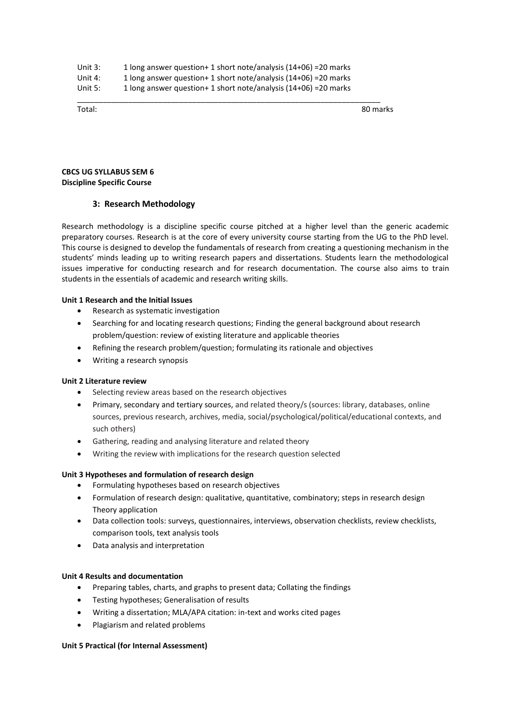| Unit $3:$ | 1 long answer question+ 1 short note/analysis (14+06) = 20 marks |
|-----------|------------------------------------------------------------------|
| Unit 4:   | 1 long answer question+ 1 short note/analysis (14+06) = 20 marks |
| Unit $5:$ | 1 long answer question+ 1 short note/analysis (14+06) = 20 marks |

\_\_\_\_\_\_\_\_\_\_\_\_\_\_\_\_\_\_\_\_\_\_\_\_\_\_\_\_\_\_\_\_\_\_\_\_\_\_\_\_\_\_\_\_\_\_\_\_\_\_\_\_\_\_\_\_\_\_\_\_\_\_\_\_\_\_\_\_\_\_\_

Total: 80 marks

## **CBCS UG SYLLABUS SEM 6 Discipline Specific Course**

# **3: Research Methodology**

Research methodology is a discipline specific course pitched at a higher level than the generic academic preparatory courses. Research is at the core of every university course starting from the UG to the PhD level. This course is designed to develop the fundamentals of research from creating a questioning mechanism in the students' minds leading up to writing research papers and dissertations. Students learn the methodological issues imperative for conducting research and for research documentation. The course also aims to train students in the essentials of academic and research writing skills.

## **Unit 1 Research and the Initial Issues**

- Research as systematic investigation
- Searching for and locating research questions; Finding the general background about research problem/question: review of existing literature and applicable theories
- Refining the research problem/question; formulating its rationale and objectives
- Writing a research synopsis

## **Unit 2 Literature review**

- Selecting review areas based on the research objectives
- Primary, secondary and tertiary sources, and related theory/s (sources: library, databases, online sources, previous research, archives, media, social/psychological/political/educational contexts, and such others)
- Gathering, reading and analysing literature and related theory
- Writing the review with implications for the research question selected

## **Unit 3 Hypotheses and formulation of research design**

- Formulating hypotheses based on research objectives
- Formulation of research design: qualitative, quantitative, combinatory; steps in research design Theory application
- Data collection tools: surveys, questionnaires, interviews, observation checklists, review checklists, comparison tools, text analysis tools
- Data analysis and interpretation

## **Unit 4 Results and documentation**

- Preparing tables, charts, and graphs to present data; Collating the findings
- Testing hypotheses; Generalisation of results
- Writing a dissertation; MLA/APA citation: in-text and works cited pages
- Plagiarism and related problems

## **Unit 5 Practical (for Internal Assessment)**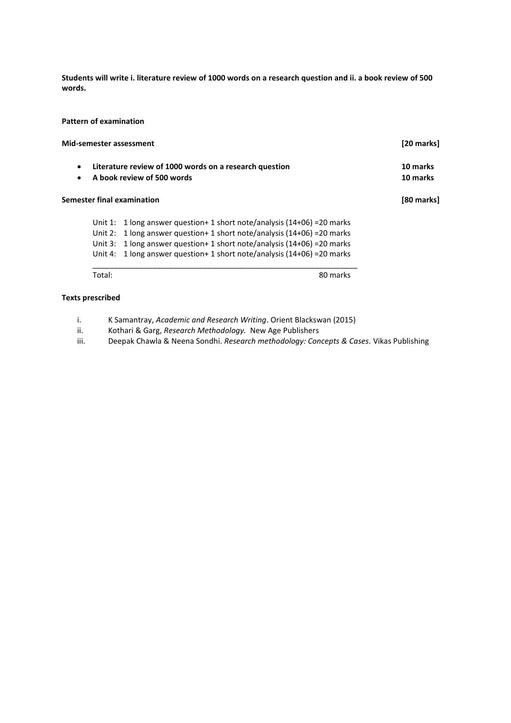**Students will write i. literature review of 1000 words on a research question and ii. a book review of 500 words.** 

# **Pattern of examination**

| Mid-semester assessment |                                                                                      |                                                                                                                                                                                                                                                                                      | [20 marks] |  |
|-------------------------|--------------------------------------------------------------------------------------|--------------------------------------------------------------------------------------------------------------------------------------------------------------------------------------------------------------------------------------------------------------------------------------|------------|--|
| $\bullet$<br>$\bullet$  | Literature review of 1000 words on a research question<br>A book review of 500 words | 10 marks<br>10 marks                                                                                                                                                                                                                                                                 |            |  |
|                         |                                                                                      | Semester final examination                                                                                                                                                                                                                                                           | [80 marks] |  |
|                         | Unit 1:<br>Unit $2:$<br>Unit $3:$<br>Unit $4:$                                       | 1 long answer question+ 1 short note/analysis (14+06) = 20 marks<br>1 long answer question + 1 short note/analysis $(14+06)$ =20 marks<br>1 long answer question + 1 short note/analysis $(14+06)$ = 20 marks<br>1 long answer question + 1 short note/analysis $(14+06)$ = 20 marks |            |  |
|                         | Total:                                                                               | 80 marks                                                                                                                                                                                                                                                                             |            |  |
|                         | <b>Texts prescribed</b>                                                              |                                                                                                                                                                                                                                                                                      |            |  |

i. K Samantray, *Academic and Research Writing*. Orient Blackswan (2015)

ii. Kothari & Garg, *Research Methodology.* New Age Publishers

iii. Deepak Chawla & Neena Sondhi. *Research methodology: Concepts & Cases.* Vikas Publishing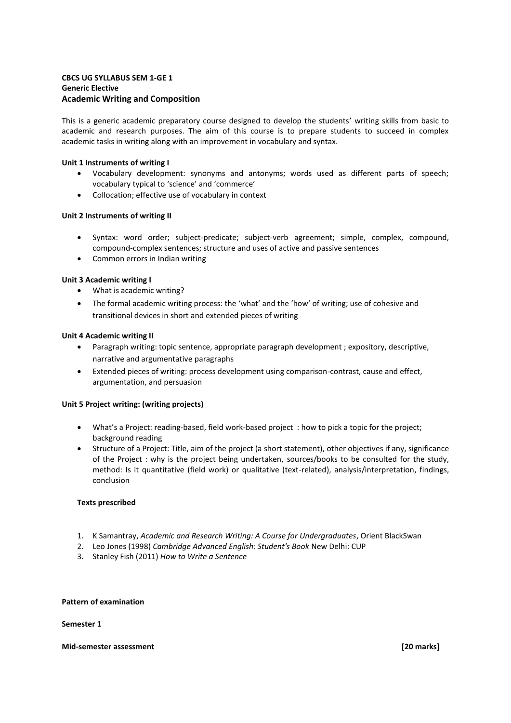# **CBCS UG SYLLABUS SEM 1-GE 1 Generic Elective Academic Writing and Composition**

This is a generic academic preparatory course designed to develop the students' writing skills from basic to academic and research purposes. The aim of this course is to prepare students to succeed in complex academic tasks in writing along with an improvement in vocabulary and syntax.

## **Unit 1 Instruments of writing I**

- Vocabulary development: synonyms and antonyms; words used as different parts of speech; vocabulary typical to 'science' and 'commerce'
- Collocation; effective use of vocabulary in context

# **Unit 2 Instruments of writing II**

- Syntax: word order; subject-predicate; subject-verb agreement; simple, complex, compound, compound-complex sentences; structure and uses of active and passive sentences
- Common errors in Indian writing

## **Unit 3 Academic writing I**

- What is academic writing?
- The formal academic writing process: the 'what' and the 'how' of writing; use of cohesive and transitional devices in short and extended pieces of writing

## **Unit 4 Academic writing II**

- Paragraph writing: topic sentence, appropriate paragraph development ; expository, descriptive, narrative and argumentative paragraphs
- Extended pieces of writing: process development using comparison-contrast, cause and effect, argumentation, and persuasion

## **Unit 5 Project writing: (writing projects)**

- What's a Project: reading-based, field work-based project : how to pick a topic for the project; background reading
- Structure of a Project: Title, aim of the project (a short statement), other objectives if any, significance of the Project : why is the project being undertaken, sources/books to be consulted for the study, method: Is it quantitative (field work) or qualitative (text-related), analysis/interpretation, findings, conclusion

## **Texts prescribed**

- 1. K Samantray, *Academic and Research Writing: A Course for Undergraduates*, Orient BlackSwan
- 2. Leo Jones (1998) *Cambridge Advanced English: Student's Book* New Delhi: CUP
- 3. Stanley Fish (2011) *How to Write a Sentence*

#### **Pattern of examination**

#### **Semester 1**

#### **Mid-semester assessment [20 marks]**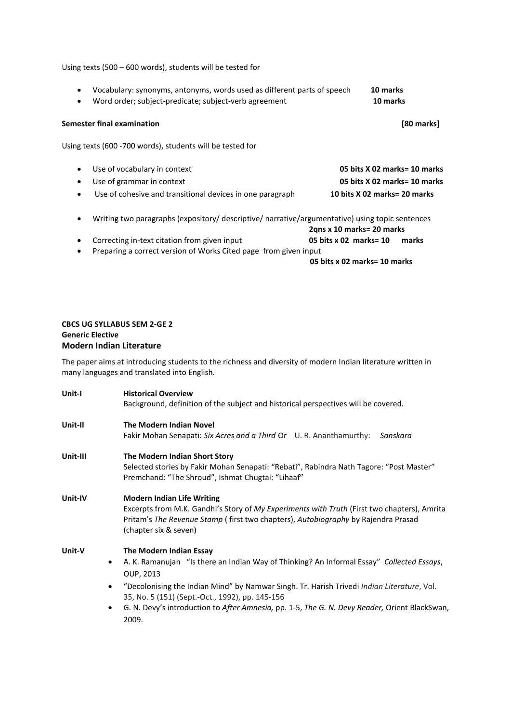#### Using texts (500 – 600 words), students will be tested for

 Vocabulary: synonyms, antonyms, words used as different parts of speech **10 marks** Word order; subject-predicate; subject-verb agreement **10 marks** 

#### **Semester final examination [80 marks]**

Using texts (600 -700 words), students will be tested for

- Use of vocabulary in context **05 bits X 02 marks= 10 marks** Use of grammar in context **05 bits X 02 marks= 10 marks** Use of cohesive and transitional devices in one paragraph **10 bits X 02 marks= 20 marks**
- Writing two paragraphs (expository/ descriptive/ narrative/argumentative) using topic sentences

**2qns x 10 marks= 20 marks**

- Correcting in-text citation from given input **05 bits x 02 marks= 10 marks**
- Preparing a correct version of Works Cited page from given input

**05 bits x 02 marks= 10 marks**

# **CBCS UG SYLLABUS SEM 2-GE 2 Generic Elective Modern Indian Literature**

2009.

The paper aims at introducing students to the richness and diversity of modern Indian literature written in many languages and translated into English.

| Unit-I   | <b>Historical Overview</b>                                                                                      |  |  |  |
|----------|-----------------------------------------------------------------------------------------------------------------|--|--|--|
|          | Background, definition of the subject and historical perspectives will be covered.                              |  |  |  |
| Unit-II  | <b>The Modern Indian Novel</b>                                                                                  |  |  |  |
|          | Fakir Mohan Senapati: Six Acres and a Third Or U. R. Ananthamurthy:<br>Sanskara                                 |  |  |  |
| Unit-III | The Modern Indian Short Story                                                                                   |  |  |  |
|          | Selected stories by Fakir Mohan Senapati: "Rebati", Rabindra Nath Tagore: "Post Master"                         |  |  |  |
|          | Premchand: "The Shroud", Ishmat Chugtai: "Lihaaf"                                                               |  |  |  |
| Unit-IV  | <b>Modern Indian Life Writing</b>                                                                               |  |  |  |
|          | Excerpts from M.K. Gandhi's Story of My Experiments with Truth (First two chapters), Amrita                     |  |  |  |
|          | Pritam's The Revenue Stamp (first two chapters), Autobiography by Rajendra Prasad                               |  |  |  |
|          | (chapter six & seven)                                                                                           |  |  |  |
| Unit-V   | The Modern Indian Essay                                                                                         |  |  |  |
|          | A. K. Ramanujan "Is there an Indian Way of Thinking? An Informal Essay" Collected Essays,<br>$\bullet$          |  |  |  |
|          | OUP, 2013                                                                                                       |  |  |  |
|          | "Decolonising the Indian Mind" by Namwar Singh. Tr. Harish Trivedi <i>Indian Literature</i> , Vol.<br>$\bullet$ |  |  |  |
|          | 35, No. 5 (151) (Sept.-Oct., 1992), pp. 145-156                                                                 |  |  |  |
|          | G. N. Devy's introduction to After Amnesia, pp. 1-5, The G. N. Devy Reader, Orient BlackSwan,                   |  |  |  |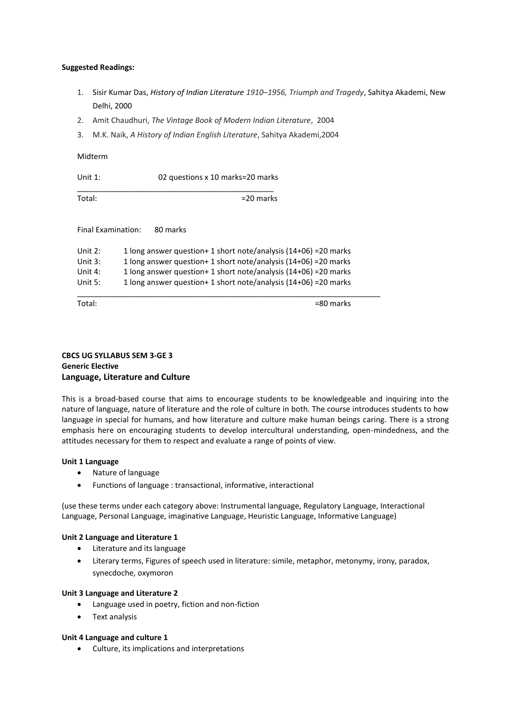## **Suggested Readings:**

- 1. Sisir Kumar Das, *History of Indian Literature 1910–1956, Triumph and Tragedy*, Sahitya Akademi, New Delhi, 2000
- 2. Amit Chaudhuri, *The Vintage Book of Modern Indian Literature*, 2004
- 3. M.K. Naik, *A History of Indian English Literature*, Sahitya Akademi,2004

#### Midterm

Unit 1: 02 questions x 10 marks=20 marks

\_\_\_\_\_\_\_\_\_\_\_\_\_\_\_\_\_\_\_\_\_\_\_\_\_\_\_\_\_\_\_\_\_\_\_\_\_\_\_\_\_\_\_\_\_\_ Total:  $=20$  marks

## Final Examination: 80 marks

Unit 2: 1 long answer question+ 1 short note/analysis (14+06) = 20 marks Unit 3: 1 long answer question+ 1 short note/analysis (14+06) =20 marks Unit 4: 1 long answer question+ 1 short note/analysis (14+06) =20 marks Unit 5: 1 long answer question+ 1 short note/analysis (14+06) = 20 marks \_\_\_\_\_\_\_\_\_\_\_\_\_\_\_\_\_\_\_\_\_\_\_\_\_\_\_\_\_\_\_\_\_\_\_\_\_\_\_\_\_\_\_\_\_\_\_\_\_\_\_\_\_\_\_\_\_\_\_\_\_\_\_\_\_\_\_\_\_\_\_

Total:  $=80$  marks

# **CBCS UG SYLLABUS SEM 3-GE 3 Generic Elective Language, Literature and Culture**

This is a broad-based course that aims to encourage students to be knowledgeable and inquiring into the nature of language, nature of literature and the role of culture in both. The course introduces students to how language in special for humans, and how literature and culture make human beings caring. There is a strong emphasis here on encouraging students to develop intercultural understanding, open-mindedness, and the attitudes necessary for them to respect and evaluate a range of points of view.

## **Unit 1 Language**

- Nature of language
- Functions of language : transactional, informative, interactional

(use these terms under each category above: Instrumental language, Regulatory Language, Interactional Language, Personal Language, imaginative Language, Heuristic Language, Informative Language)

## **Unit 2 Language and Literature 1**

- Literature and its language
- Literary terms, Figures of speech used in literature: simile, metaphor, metonymy, irony, paradox, synecdoche, oxymoron

## **Unit 3 Language and Literature 2**

- Language used in poetry, fiction and non-fiction
- Text analysis

## **Unit 4 Language and culture 1**

Culture, its implications and interpretations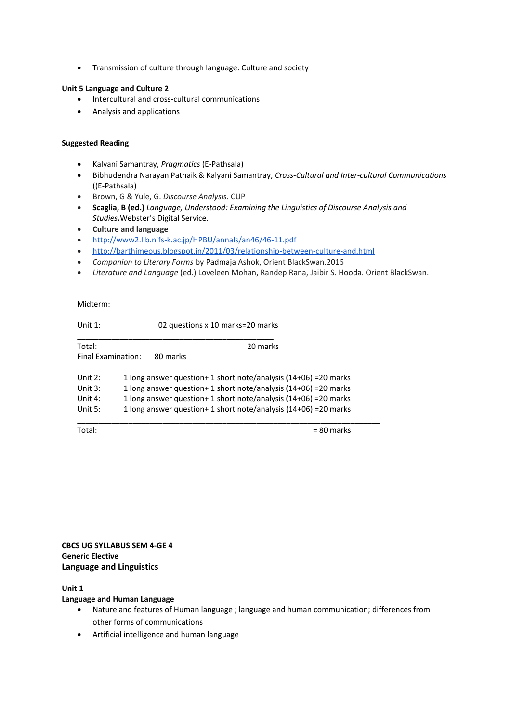• Transmission of culture through language: Culture and society

## **Unit 5 Language and Culture 2**

- Intercultural and cross-cultural communications
- Analysis and applications

# **Suggested Reading**

- Kalyani Samantray, *Pragmatics* (E-Pathsala)
- Bibhudendra Narayan Patnaik & Kalyani Samantray, *Cross-Cultural and Inter-cultural Communications* ((E-Pathsala)
- Brown, G & Yule, G. *Discourse Analysis*. CUP
- **Scaglia, B (ed.)** *Language, Understood: Examining the Linguistics of Discourse Analysis and Studies***.**Webster͛s Digital Service.
- **Culture and language**
- <http://www2.lib.nifs-k.ac.jp/HPBU/annals/an46/46-11.pdf>
- <http://barthimeous.blogspot.in/2011/03/relationship-between-culture-and.html>
- *Companion to Literary Forms* by Padmaja Ashok, Orient BlackSwan.2015
- *Literature and Language* (ed.) Loveleen Mohan, Randep Rana, Jaibir S. Hooda. Orient BlackSwan.

#### Midterm:

| Unit $1$ :         | 02 questions x 10 marks=20 marks                                 |  |
|--------------------|------------------------------------------------------------------|--|
| Total:             | 20 marks                                                         |  |
| Final Examination: | 80 marks                                                         |  |
| Unit $2:$          | 1 long answer question+ 1 short note/analysis (14+06) = 20 marks |  |
| Unit $3:$          | 1 long answer question+ 1 short note/analysis (14+06) = 20 marks |  |
| Unit 4:            | 1 long answer question+ 1 short note/analysis (14+06) = 20 marks |  |
| Unit 5:            | 1 long answer question+ 1 short note/analysis (14+06) = 20 marks |  |

 $Total:$   $= 80$  marks

**CBCS UG SYLLABUS SEM 4-GE 4 Generic Elective Language and Linguistics** 

**Unit 1** 

## **Language and Human Language**

- Nature and features of Human language ; language and human communication; differences from other forms of communications
- Artificial intelligence and human language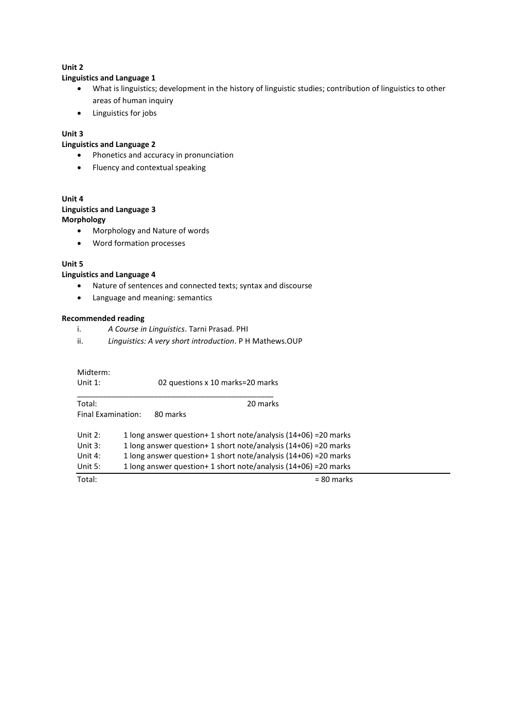# **Unit 2**

# **Linguistics and Language 1**

- What is linguistics; development in the history of linguistic studies; contribution of linguistics to other areas of human inquiry
- Linguistics for jobs

# **Unit 3**

# **Linguistics and Language 2**

- Phonetics and accuracy in pronunciation
- Fluency and contextual speaking

# **Unit 4**

## **Linguistics and Language 3 Morphology**

- Morphology and Nature of words
- Word formation processes

# **Unit 5**

# **Linguistics and Language 4**

- Nature of sentences and connected texts; syntax and discourse
- Language and meaning: semantics

## **Recommended reading**

- i. *A Course in Linguistics*. Tarni Prasad. PHI
- ii. *Linguistics: A very short introduction*. P H Mathews.OUP

| Midterm:<br>Unit $1$ :                         | 02 questions x 10 marks=20 marks                                                                                                                                                                                                                                             |
|------------------------------------------------|------------------------------------------------------------------------------------------------------------------------------------------------------------------------------------------------------------------------------------------------------------------------------|
| Total:                                         | 20 marks                                                                                                                                                                                                                                                                     |
| Final Examination:                             | 80 marks                                                                                                                                                                                                                                                                     |
| Unit $2:$<br>Unit $3:$<br>Unit 4:<br>Unit $5:$ | 1 long answer question+ 1 short note/analysis (14+06) = 20 marks<br>1 long answer question+ 1 short note/analysis (14+06) = 20 marks<br>1 long answer question+ 1 short note/analysis (14+06) = 20 marks<br>1 long answer question+ 1 short note/analysis (14+06) = 20 marks |
| Total:                                         | $= 80$ marks                                                                                                                                                                                                                                                                 |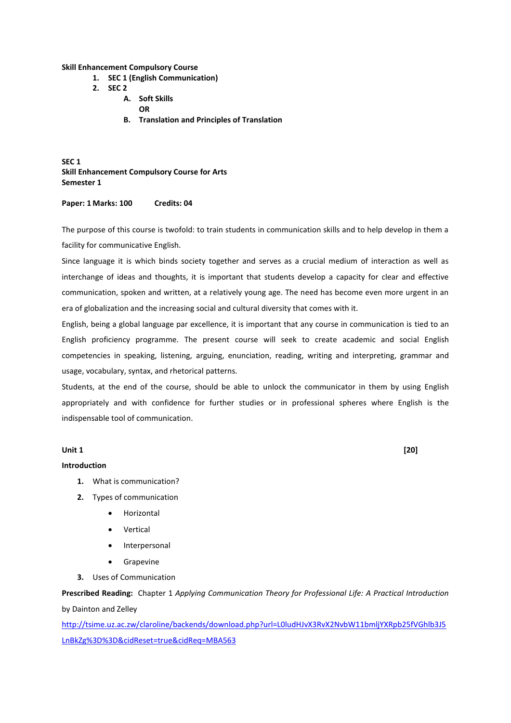**Skill Enhancement Compulsory Course** 

- **1. SEC 1 (English Communication)**
- **2. SEC 2** 
	- **A. Soft Skills**
	- **OR**
	- **B. Translation and Principles of Translation**

**SEC 1 Skill Enhancement Compulsory Course for Arts Semester 1** 

#### **Paper: 1 Marks: 100 Credits: 04**

The purpose of this course is twofold: to train students in communication skills and to help develop in them a facility for communicative English.

Since language it is which binds society together and serves as a crucial medium of interaction as well as interchange of ideas and thoughts, it is important that students develop a capacity for clear and effective communication, spoken and written, at a relatively young age. The need has become even more urgent in an era of globalization and the increasing social and cultural diversity that comes with it.

English, being a global language par excellence, it is important that any course in communication is tied to an English proficiency programme. The present course will seek to create academic and social English competencies in speaking, listening, arguing, enunciation, reading, writing and interpreting, grammar and usage, vocabulary, syntax, and rhetorical patterns.

Students, at the end of the course, should be able to unlock the communicator in them by using English appropriately and with confidence for further studies or in professional spheres where English is the indispensable tool of communication.

#### **Unit 1 [20]**

## **Introduction**

- **1.** What is communication?
- **2.** Types of communication
	- Horizontal
	- Vertical
	- Interpersonal
	- **•** Grapevine
- **3.** Uses of Communication

**Prescribed Reading:** Chapter 1 *Applying Communication Theory for Professional Life: A Practical Introduction* by Dainton and Zelley

[http://tsime.uz.ac.zw/claroline/backends/download.php?url=L0ludHJvX3RvX2NvbW11bmljYXRpb25fVGhlb3J5](http://tsime.uz.ac.zw/claroline/backends/download.php?url=L0ludHJvX3RvX2NvbW11bmljYXRpb25fVGhlb3J5LnBkZg%3D%3D&cidReset=true&cidReq=MBA563) [LnBkZg%3D%3D&cidReset=true&cidReq=MBA563](http://tsime.uz.ac.zw/claroline/backends/download.php?url=L0ludHJvX3RvX2NvbW11bmljYXRpb25fVGhlb3J5LnBkZg%3D%3D&cidReset=true&cidReq=MBA563)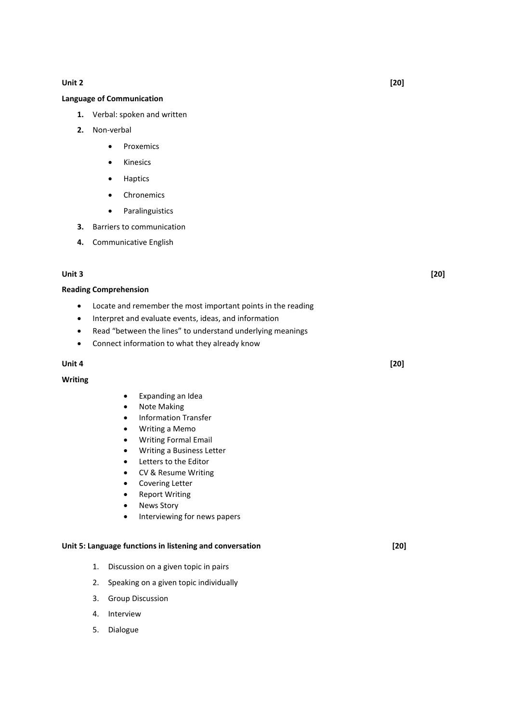#### **Unit 2 [20]**

#### **Language of Communication**

- **1.** Verbal: spoken and written
- **2.** Non-verbal
	- Proxemics
	- **•** Kinesics
	- Haptics
	- Chronemics
	- Paralinguistics
- **3.** Barriers to communication
- **4.** Communicative English

#### **Unit 3 [20]**

#### **Reading Comprehension**

- Locate and remember the most important points in the reading
- Interpret and evaluate events, ideas, and information
- Read "between the lines" to understand underlying meanings
- Connect information to what they already know

#### **Unit 4 [20]**

#### **Writing**

- Expanding an Idea
- Note Making
- Information Transfer
- Writing a Memo
- Writing Formal Email
- Writing a Business Letter
- Letters to the Editor
- CV & Resume Writing
- Covering Letter
- Report Writing
- News Story
- **•** Interviewing for news papers

#### **Unit 5: Language functions in listening and conversation [20]**

- 1. Discussion on a given topic in pairs
- 2. Speaking on a given topic individually
- 3. Group Discussion
- 4. Interview
- 5. Dialogue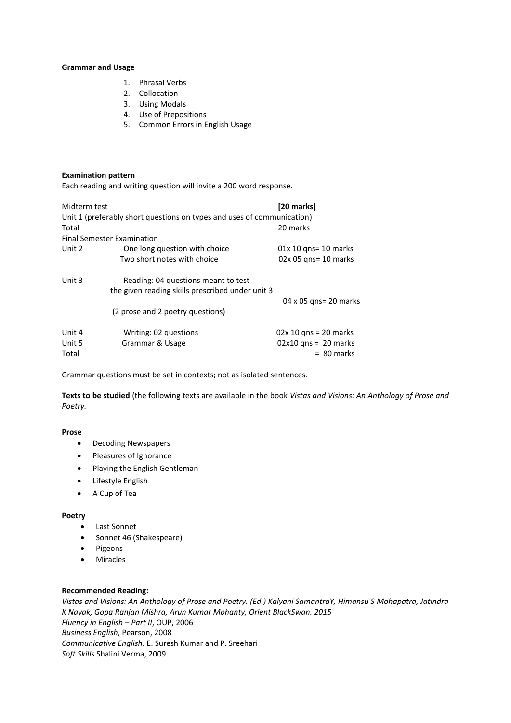#### **Grammar and Usage**

- 1. Phrasal Verbs
- 2. Collocation
- 3. Using Modals
- 4. Use of Prepositions
- 5. Common Errors in English Usage

#### **Examination pattern**

Each reading and writing question will invite a 200 word response.

| Midterm test<br>Total     | Unit 1 (preferably short questions on types and uses of communication)<br><b>Final Semester Examination</b> | [20 marks]<br>20 marks                                            |
|---------------------------|-------------------------------------------------------------------------------------------------------------|-------------------------------------------------------------------|
| Unit 2                    |                                                                                                             |                                                                   |
|                           | One long question with choice<br>Two short notes with choice                                                | $01x 10$ gns= 10 marks<br>02x 05 qns= 10 marks                    |
| Unit 3                    | Reading: 04 questions meant to test<br>the given reading skills prescribed under unit 3                     | 04 x 05 gns= 20 marks                                             |
|                           | (2 prose and 2 poetry questions)                                                                            |                                                                   |
| Unit 4<br>Unit 5<br>Total | Writing: 02 questions<br>Grammar & Usage                                                                    | $02x 10$ gns = 20 marks<br>$02x10$ gns = 20 marks<br>$= 80$ marks |

Grammar questions must be set in contexts; not as isolated sentences.

**Texts to be studied** (the following texts are available in the book *Vistas and Visions: An Anthology of Prose and Poetry.*

## **Prose**

- Decoding Newspapers
- Pleasures of Ignorance
- Playing the English Gentleman
- Lifestyle English
- A Cup of Tea

#### **Poetry**

- Last Sonnet
- Sonnet 46 (Shakespeare)
- Pigeons
- Miracles

# **Recommended Reading:**

*Vistas and Visions: An Anthology of Prose and Poetry. (Ed.) Kalyani SamantraY, Himansu S Mohapatra, Jatindra K Nayak, Gopa Ranjan Mishra, Arun Kumar Mohanty, Orient BlackSwan. 2015 Fluency in English* – *Part II*, OUP, 2006 *Business English*, Pearson, 2008 *Communicative English*. E. Suresh Kumar and P. Sreehari *Soft Skills* Shalini Verma, 2009.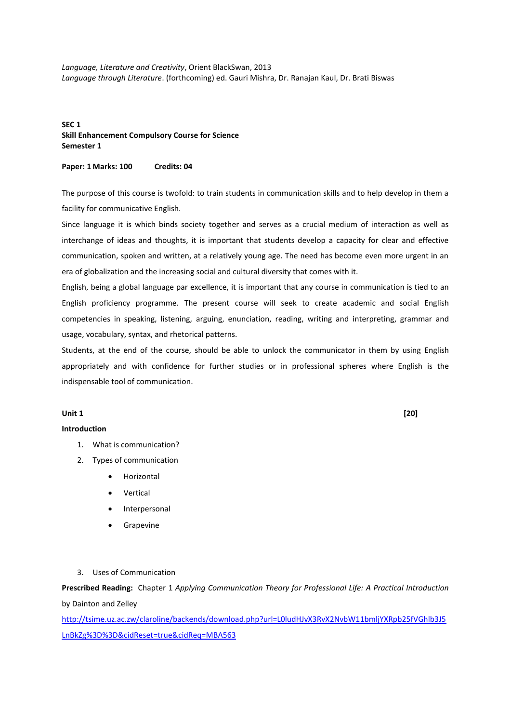*Language, Literature and Creativity*, Orient BlackSwan, 2013 *Language through Literature*. (forthcoming) ed. Gauri Mishra, Dr. Ranajan Kaul, Dr. Brati Biswas

## **SEC 1 Skill Enhancement Compulsory Course for Science Semester 1**

#### **Paper: 1 Marks: 100 Credits: 04**

The purpose of this course is twofold: to train students in communication skills and to help develop in them a facility for communicative English.

Since language it is which binds society together and serves as a crucial medium of interaction as well as interchange of ideas and thoughts, it is important that students develop a capacity for clear and effective communication, spoken and written, at a relatively young age. The need has become even more urgent in an era of globalization and the increasing social and cultural diversity that comes with it.

English, being a global language par excellence, it is important that any course in communication is tied to an English proficiency programme. The present course will seek to create academic and social English competencies in speaking, listening, arguing, enunciation, reading, writing and interpreting, grammar and usage, vocabulary, syntax, and rhetorical patterns.

Students, at the end of the course, should be able to unlock the communicator in them by using English appropriately and with confidence for further studies or in professional spheres where English is the indispensable tool of communication.

#### **Unit 1 [20]**

#### **Introduction**

- 1. What is communication?
- 2. Types of communication
	- Horizontal
	- Vertical
	- Interpersonal
	- Grapevine
- 3. Uses of Communication

**Prescribed Reading:** Chapter 1 *Applying Communication Theory for Professional Life: A Practical Introduction* by Dainton and Zelley

[http://tsime.uz.ac.zw/claroline/backends/download.php?url=L0ludHJvX3RvX2NvbW11bmljYXRpb25fVGhlb3J5](http://tsime.uz.ac.zw/claroline/backends/download.php?url=L0ludHJvX3RvX2NvbW11bmljYXRpb25fVGhlb3J5LnBkZg%3D%3D&cidReset=true&cidReq=MBA563) [LnBkZg%3D%3D&cidReset=true&cidReq=MBA563](http://tsime.uz.ac.zw/claroline/backends/download.php?url=L0ludHJvX3RvX2NvbW11bmljYXRpb25fVGhlb3J5LnBkZg%3D%3D&cidReset=true&cidReq=MBA563)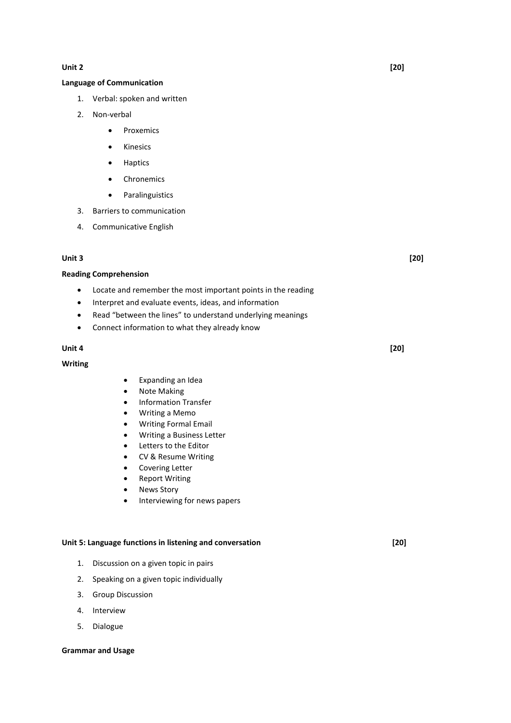#### **Unit 2 [20]**

#### **Language of Communication**

- 1. Verbal: spoken and written
- 2. Non-verbal
	- Proxemics
	- Kinesics
	- **•** Haptics
	- Chronemics
	- **•** Paralinguistics
- 3. Barriers to communication
- 4. Communicative English

#### **Unit 3 [20]**

#### **Reading Comprehension**

- Locate and remember the most important points in the reading
- Interpret and evaluate events, ideas, and information
- Read "between the lines" to understand underlying meanings
- Connect information to what they already know

#### **Unit 4 [20]**

## **Writing**

- Expanding an Idea
- Note Making
- **•** Information Transfer
- Writing a Memo
- Writing Formal Email
- Writing a Business Letter
- Letters to the Editor
- CV & Resume Writing
- Covering Letter
- Report Writing
- News Story
- Interviewing for news papers

#### **Unit 5: Language functions in listening and conversation [20]**

- 1. Discussion on a given topic in pairs
- 2. Speaking on a given topic individually
- 3. Group Discussion
- 4. Interview
- 5. Dialogue

#### **Grammar and Usage**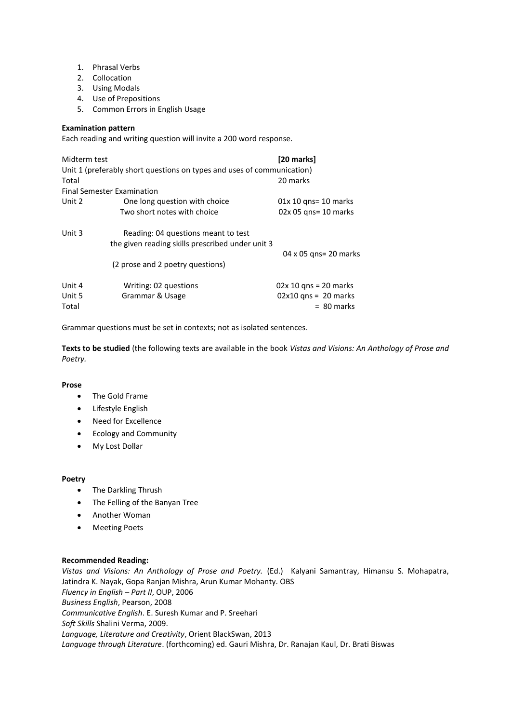- 1. Phrasal Verbs
- 2. Collocation
- 3. Using Modals
- 4. Use of Prepositions
- 5. Common Errors in English Usage

## **Examination pattern**

Each reading and writing question will invite a 200 word response.

| Midterm test              | Unit 1 (preferably short questions on types and uses of communication)                  | [20 marks]                                                        |
|---------------------------|-----------------------------------------------------------------------------------------|-------------------------------------------------------------------|
| Total                     |                                                                                         | 20 marks                                                          |
|                           | <b>Final Semester Examination</b>                                                       |                                                                   |
| Unit 2                    | One long question with choice                                                           | $01x 10$ gns= 10 marks                                            |
|                           | Two short notes with choice                                                             | 02x 05 gns= 10 marks                                              |
| Unit 3                    | Reading: 04 questions meant to test<br>the given reading skills prescribed under unit 3 |                                                                   |
|                           | (2 prose and 2 poetry questions)                                                        | 04 x 05 gns= 20 marks                                             |
| Unit 4<br>Unit 5<br>Total | Writing: 02 questions<br>Grammar & Usage                                                | $02x 10$ qns = 20 marks<br>$02x10$ qns = 20 marks<br>$= 80$ marks |

Grammar questions must be set in contexts; not as isolated sentences.

**Texts to be studied** (the following texts are available in the book *Vistas and Visions: An Anthology of Prose and Poetry.*

## **Prose**

- The Gold Frame
- Lifestyle English
- Need for Excellence
- Ecology and Community
- My Lost Dollar

## **Poetry**

- The Darkling Thrush
- The Felling of the Banyan Tree
- Another Woman
- Meeting Poets

## **Recommended Reading:**

*Vistas and Visions: An Anthology of Prose and Poetry.* (Ed.)Kalyani Samantray, Himansu S. Mohapatra, Jatindra K. Nayak, Gopa Ranjan Mishra, Arun Kumar Mohanty. OBS *Fluency in English* – *Part II*, OUP, 2006 *Business English*, Pearson, 2008 *Communicative English*. E. Suresh Kumar and P. Sreehari *Soft Skills* Shalini Verma, 2009. *Language, Literature and Creativity*, Orient BlackSwan, 2013 *Language through Literature*. (forthcoming) ed. Gauri Mishra, Dr. Ranajan Kaul, Dr. Brati Biswas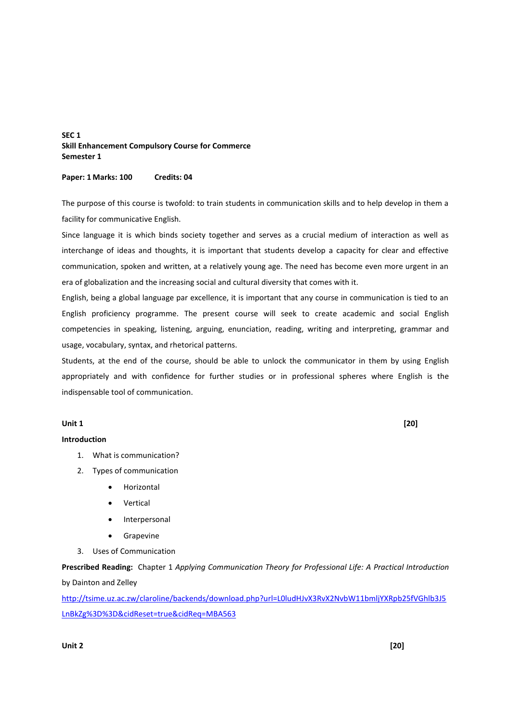## **SEC 1 Skill Enhancement Compulsory Course for Commerce Semester 1**

#### **Paper: 1 Marks: 100 Credits: 04**

The purpose of this course is twofold: to train students in communication skills and to help develop in them a facility for communicative English.

Since language it is which binds society together and serves as a crucial medium of interaction as well as interchange of ideas and thoughts, it is important that students develop a capacity for clear and effective communication, spoken and written, at a relatively young age. The need has become even more urgent in an era of globalization and the increasing social and cultural diversity that comes with it.

English, being a global language par excellence, it is important that any course in communication is tied to an English proficiency programme. The present course will seek to create academic and social English competencies in speaking, listening, arguing, enunciation, reading, writing and interpreting, grammar and usage, vocabulary, syntax, and rhetorical patterns.

Students, at the end of the course, should be able to unlock the communicator in them by using English appropriately and with confidence for further studies or in professional spheres where English is the indispensable tool of communication.

#### **Unit 1 [20]**

## **Introduction**

- 1. What is communication?
- 2. Types of communication
	- Horizontal
	- Vertical
	- Interpersonal
	- **•** Grapevine
- 3. Uses of Communication

**Prescribed Reading:** Chapter 1 *Applying Communication Theory for Professional Life: A Practical Introduction* by Dainton and Zelley

[http://tsime.uz.ac.zw/claroline/backends/download.php?url=L0ludHJvX3RvX2NvbW11bmljYXRpb25fVGhlb3J5](http://tsime.uz.ac.zw/claroline/backends/download.php?url=L0ludHJvX3RvX2NvbW11bmljYXRpb25fVGhlb3J5LnBkZg%3D%3D&cidReset=true&cidReq=MBA563) [LnBkZg%3D%3D&cidReset=true&cidReq=MBA563](http://tsime.uz.ac.zw/claroline/backends/download.php?url=L0ludHJvX3RvX2NvbW11bmljYXRpb25fVGhlb3J5LnBkZg%3D%3D&cidReset=true&cidReq=MBA563)

#### **Unit 2 [20]**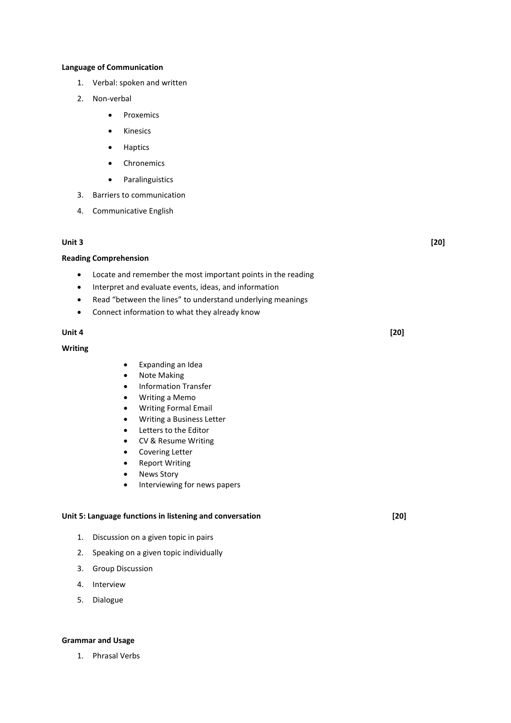#### **Language of Communication**

- 1. Verbal: spoken and written
- 2. Non-verbal
	- Proxemics
	- **•** Kinesics
	- Haptics
	- Chronemics
	- **•** Paralinguistics
- 3. Barriers to communication
- 4. Communicative English

#### **Unit 3 [20]**

#### **Reading Comprehension**

- Locate and remember the most important points in the reading
- Interpret and evaluate events, ideas, and information
- Read "between the lines" to understand underlying meanings
- Connect information to what they already know

#### **Unit 4 [20]**

#### **Writing**

- Expanding an Idea
- Note Making
- **•** Information Transfer
- Writing a Memo
- Writing Formal Email
- Writing a Business Letter
- Letters to the Editor
- CV & Resume Writing
- Covering Letter
- Report Writing
- News Story
- **•** Interviewing for news papers

#### **Unit 5: Language functions in listening and conversation [20]**

- 1. Discussion on a given topic in pairs
- 2. Speaking on a given topic individually
- 3. Group Discussion
- 4. Interview
- 5. Dialogue

#### **Grammar and Usage**

1. Phrasal Verbs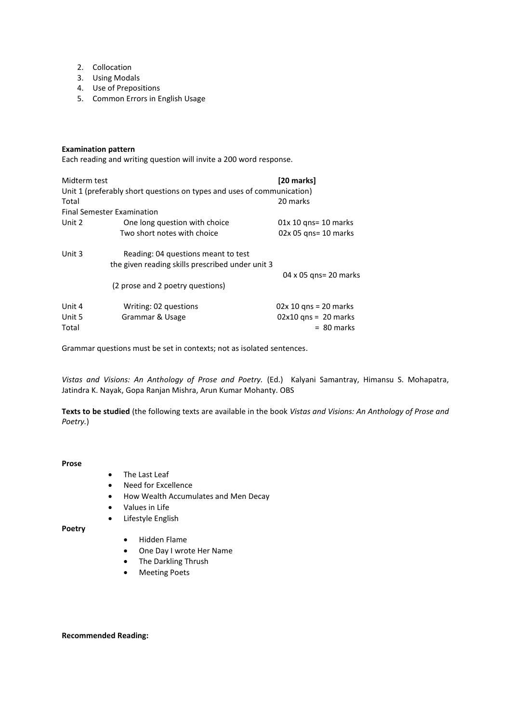- 2. Collocation
- 3. Using Modals
- 4. Use of Prepositions
- 5. Common Errors in English Usage

## **Examination pattern**

Each reading and writing question will invite a 200 word response.

| Midterm test | Unit 1 (preferably short questions on types and uses of communication)                  | [20 marks]              |
|--------------|-----------------------------------------------------------------------------------------|-------------------------|
| Total        |                                                                                         | 20 marks                |
|              | <b>Final Semester Examination</b>                                                       |                         |
| Unit 2       | One long question with choice                                                           | $01x 10$ gns= 10 marks  |
|              | Two short notes with choice                                                             | $02x 05$ gns= 10 marks  |
| Unit 3       | Reading: 04 questions meant to test<br>the given reading skills prescribed under unit 3 |                         |
|              |                                                                                         | 04 x 05 gns= 20 marks   |
|              | (2 prose and 2 poetry questions)                                                        |                         |
| Unit 4       | Writing: 02 questions                                                                   | $02x 10$ gns = 20 marks |
| Unit 5       | Grammar & Usage                                                                         | $02x10$ qns = 20 marks  |
| Total        |                                                                                         | $= 80$ marks            |

Grammar questions must be set in contexts; not as isolated sentences.

*Vistas and Visions: An Anthology of Prose and Poetry.* (Ed.)Kalyani Samantray, Himansu S. Mohapatra, Jatindra K. Nayak, Gopa Ranjan Mishra, Arun Kumar Mohanty. OBS

**Texts to be studied** (the following texts are available in the book *Vistas and Visions: An Anthology of Prose and Poetry.*)

#### **Prose**

- The Last Leaf
- Need for Excellence
- How Wealth Accumulates and Men Decay
- Values in Life
- Lifestyle English

**Poetry** 

- Hidden Flame
- One Day I wrote Her Name
- The Darkling Thrush
- Meeting Poets

## **Recommended Reading:**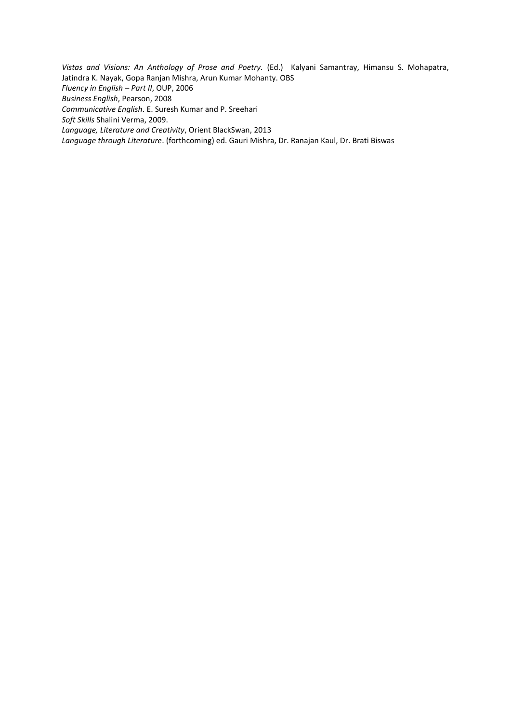*Vistas and Visions: An Anthology of Prose and Poetry.* (Ed.)Kalyani Samantray, Himansu S. Mohapatra, Jatindra K. Nayak, Gopa Ranjan Mishra, Arun Kumar Mohanty. OBS *Fluency in English* – *Part II*, OUP, 2006 *Business English*, Pearson, 2008 *Communicative English*. E. Suresh Kumar and P. Sreehari *Soft Skills* Shalini Verma, 2009. *Language, Literature and Creativity*, Orient BlackSwan, 2013 *Language through Literature*. (forthcoming) ed. Gauri Mishra, Dr. Ranajan Kaul, Dr. Brati Biswas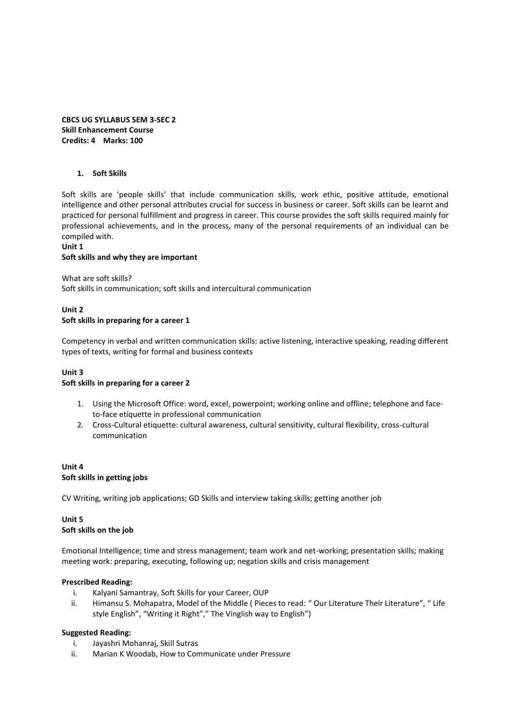**CBCS UG SYLLABUS SEM 3-SEC 2 Skill Enhancement Course Credits: 4 Marks: 100** 

#### **1. Soft Skills**

Soft skills are 'people skills' that include communication skills, work ethic, positive attitude, emotional intelligence and other personal attributes crucial for success in business or career. Soft skills can be learnt and practiced for personal fulfillment and progress in career. This course provides the soft skills required mainly for professional achievements, and in the process, many of the personal requirements of an individual can be compiled with.

#### **Unit 1**

#### **Soft skills and why they are important**

What are soft skills?

Soft skills in communication; soft skills and intercultural communication

# **Unit 2 Soft skills in preparing for a career 1**

Competency in verbal and written communication skills: active listening, interactive speaking, reading different types of texts, writing for formal and business contexts

## **Unit 3**

#### **Soft skills in preparing for a career 2**

- 1. Using the Microsoft Office: word, excel, powerpoint; working online and offline; telephone and faceto-face etiquette in professional communication
- 2. Cross-Cultural etiquette: cultural awareness, cultural sensitivity, cultural flexibility, cross-cultural communication

## **Unit 4 Soft skills in getting jobs**

CV Writing, writing job applications; GD Skills and interview taking skills; getting another job

# **Unit 5 Soft skills on the job**

Emotional Intelligence; time and stress management; team work and net-working; presentation skills; making meeting work: preparing, executing, following up; negation skills and crisis management

## **Prescribed Reading:**

- i. Kalyani Samantray, Soft Skills for your Career, OUP
- ii. Himansu S. Mohapatra, Model of the Middle (Pieces to read: "Our Literature Their Literature", "Life style English", "Writing it Right"," The Vinglish way to English")

## **Suggested Reading:**

- i. Jayashri Mohanraj, Skill Sutras
- ii. Marian K Woodab, How to Communicate under Pressure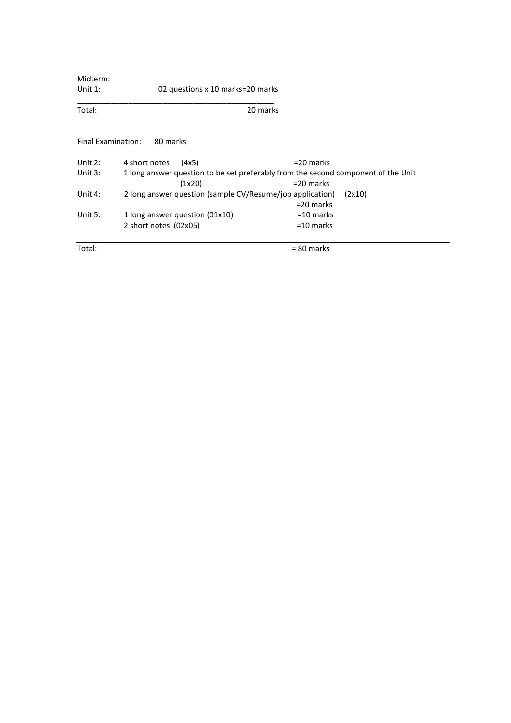| Midterm:           |                                                           |                                                                                                   |
|--------------------|-----------------------------------------------------------|---------------------------------------------------------------------------------------------------|
| Unit $1$ :         | 02 questions x 10 marks=20 marks                          |                                                                                                   |
| Total:             |                                                           | 20 marks                                                                                          |
| Final Examination: | 80 marks                                                  |                                                                                                   |
| Unit $2:$          | 4 short notes<br>(4x5)                                    | $=$ 20 marks                                                                                      |
| Unit $3:$          | (1x20)                                                    | 1 long answer question to be set preferably from the second component of the Unit<br>$=$ 20 marks |
| Unit $4:$          | 2 long answer question (sample CV/Resume/job application) | (2x10)<br>$=$ 20 marks                                                                            |
| Unit $5:$          | 1 long answer question (01x10)                            | $=$ 10 marks                                                                                      |
|                    | 2 short notes (02x05)                                     | $=$ 10 marks                                                                                      |
| Total:             |                                                           | $= 80$ marks                                                                                      |

L,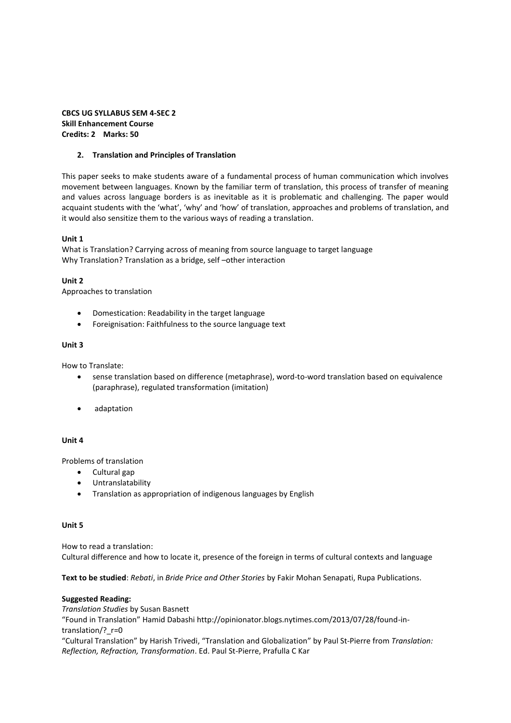# **CBCS UG SYLLABUS SEM 4-SEC 2 Skill Enhancement Course Credits: 2 Marks: 50**

## **2. Translation and Principles of Translation**

This paper seeks to make students aware of a fundamental process of human communication which involves movement between languages. Known by the familiar term of translation, this process of transfer of meaning and values across language borders is as inevitable as it is problematic and challenging. The paper would acquaint students with the 'what', 'why' and 'how' of translation, approaches and problems of translation, and it would also sensitize them to the various ways of reading a translation.

## **Unit 1**

What is Translation? Carrying across of meaning from source language to target language Why Translation? Translation as a bridge, self –other interaction

# **Unit 2**

Approaches to translation

- Domestication: Readability in the target language
- Foreignisation: Faithfulness to the source language text

## **Unit 3**

How to Translate:

- sense translation based on difference (metaphrase), word-to-word translation based on equivalence (paraphrase), regulated transformation (imitation)
- adaptation

## **Unit 4**

Problems of translation

- Cultural gap
- Untranslatability
- Translation as appropriation of indigenous languages by English

## **Unit 5**

How to read a translation: Cultural difference and how to locate it, presence of the foreign in terms of cultural contexts and language

**Text to be studied**: *Rebati*, in *Bride Price and Other Stories* by Fakir Mohan Senapati, Rupa Publications.

## **Suggested Reading:**

*Translation Studies* by Susan Basnett ͞Found in Translation͟ Hamid Dabashi http://opinionator.blogs.nytimes.com/2013/07/28/found-intranslation/? r=0 ͞Cultural Translation͟ by Harish Trivedi, ͞Translation and Globalization͟ by Paul St-Pierre from *Translation: Reflection, Refraction, Transformation*. Ed. Paul St-Pierre, Prafulla C Kar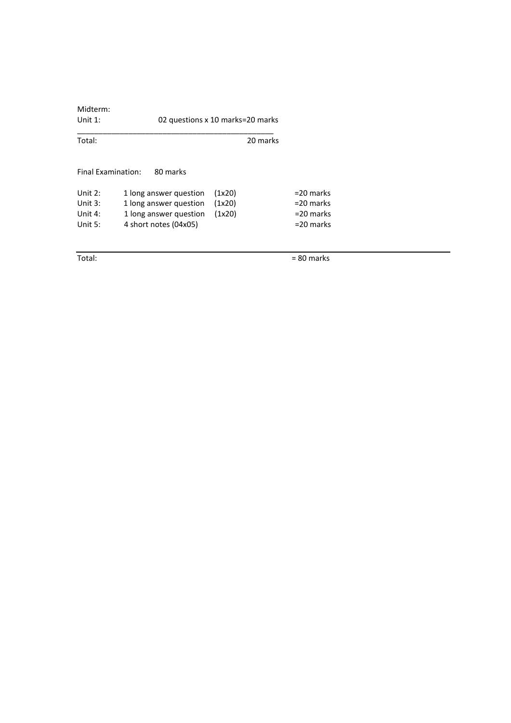| Midterm:<br>Unit $1$ : | 02 questions x 10 marks=20 marks |        |          |              |
|------------------------|----------------------------------|--------|----------|--------------|
| Total:                 |                                  |        | 20 marks |              |
| Final Examination:     | 80 marks                         |        |          |              |
| Unit $2:$              | 1 long answer question           | (1x20) |          | $=$ 20 marks |
| Unit $3:$              | 1 long answer question           | (1x20) |          | $=20$ marks  |
| Unit $4:$              | 1 long answer question           | (1x20) |          | $=$ 20 marks |
| Unit $5:$              | 4 short notes (04x05)            |        |          | $=$ 20 marks |
|                        |                                  |        |          |              |

Total:  $= 80$  marks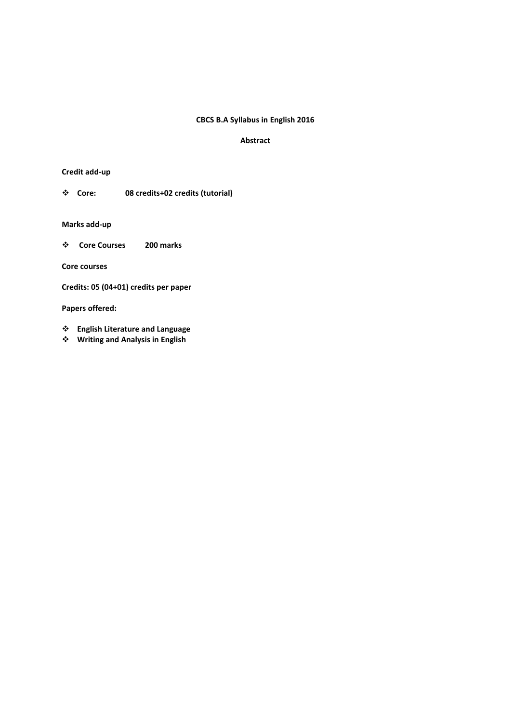# **CBCS B.A Syllabus in English 2016**

## **Abstract**

# **Credit add-up**

**Core: 08 credits+02 credits (tutorial)** 

**Marks add-up**

 **Core Courses 200 marks** 

**Core courses** 

**Credits: 05 (04+01) credits per paper** 

**Papers offered:** 

- **English Literature and Language**
- **Writing and Analysis in English**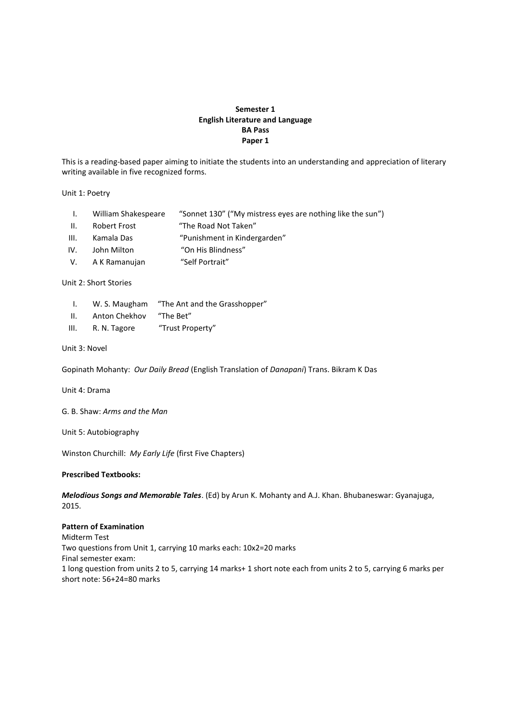# **Semester 1 English Literature and Language BA Pass Paper 1**

This is a reading-based paper aiming to initiate the students into an understanding and appreciation of literary writing available in five recognized forms.

Unit 1: Poetry

- I. William Shakespeare "Sonnet 130" ("My mistress eyes are nothing like the sun")
- II. Robert Frost **The Road Not Taken**
- III. Kamala Das 

"Punishment in Kindergarden"
- IV. John Milton ͞On His Blindness͟
- V. A K Ramanujan ͞Self Portrait͟

#### Unit 2: Short Stories

- I. W. S. Maugham "The Ant and the Grasshopper"
- II. Anton Chekhov "The Bet"
- III. R. N. Tagore 
<sup>"Trust Property"</sup>
- Unit 3: Novel

Gopinath Mohanty: *Our Daily Bread* (English Translation of *Danapani*) Trans. Bikram K Das

Unit 4: Drama

G. B. Shaw: *Arms and the Man*

Unit 5: Autobiography

Winston Churchill: *My Early Life* (first Five Chapters)

#### **Prescribed Textbooks:**

*Melodious Songs and Memorable Tales*. (Ed) by Arun K. Mohanty and A.J. Khan. Bhubaneswar: Gyanajuga, 2015.

#### **Pattern of Examination**

Midterm Test Two questions from Unit 1, carrying 10 marks each: 10x2=20 marks Final semester exam: 1 long question from units 2 to 5, carrying 14 marks+ 1 short note each from units 2 to 5, carrying 6 marks per short note: 56+24=80 marks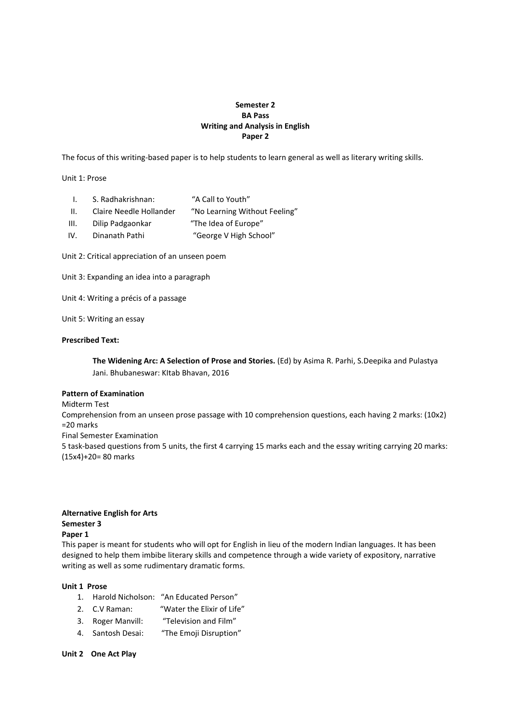# **Semester 2 BA Pass Writing and Analysis in English Paper 2**

The focus of this writing-based paper is to help students to learn general as well as literary writing skills.

Unit 1: Prose

- I. S. Radhakrishnan: "A Call to Youth"
- II. Claire Needle Hollander 

"No Learning Without Feeling"
- III. Dilip Padgaonkar ͞The Idea of Europe͟
- IV. Dinanath Pathi ͞George V High School͟

Unit 2: Critical appreciation of an unseen poem

Unit 3: Expanding an idea into a paragraph

Unit 4: Writing a précis of a passage

Unit 5: Writing an essay

#### **Prescribed Text:**

**The Widening Arc: A Selection of Prose and Stories.** (Ed) by Asima R. Parhi, S.Deepika and Pulastya Jani. Bhubaneswar: KItab Bhavan, 2016

# **Pattern of Examination**

Midterm Test Comprehension from an unseen prose passage with 10 comprehension questions, each having 2 marks: (10x2) =20 marks Final Semester Examination 5 task-based questions from 5 units, the first 4 carrying 15 marks each and the essay writing carrying 20 marks: (15x4)+20= 80 marks

#### **Alternative English for Arts Semester 3 Paper 1**

This paper is meant for students who will opt for English in lieu of the modern Indian languages. It has been designed to help them imbibe literary skills and competence through a wide variety of expository, narrative writing as well as some rudimentary dramatic forms.

## **Unit 1 Prose**

- 1. Harold Nicholson: "An Educated Person"
- 2. C.V Raman: "Water the Elixir of Life"
- 3. Roger Manvill: "Television and Film"
- 4. Santosh Desai: "The Emoji Disruption"

**Unit 2 One Act Play**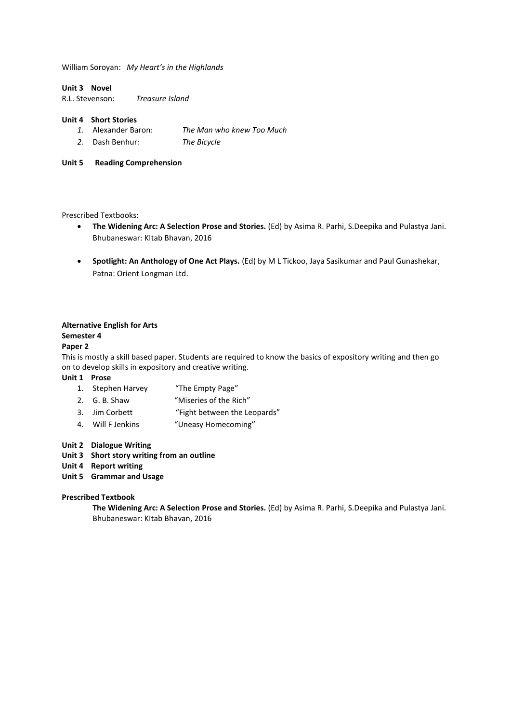William Soroyan: *My Heart's in the Highlands* 

#### **Unit 3 Novel**

R.L. Stevenson: *Treasure Island* 

## **Unit 4 Short Stories**

- *1.* Alexander Baron: *The Man who knew Too Much*
- *2.* Dash Benhur*: The Bicycle*

# **Unit 5 Reading Comprehension**

#### Prescribed Textbooks:

- **The Widening Arc: A Selection Prose and Stories.** (Ed) by Asima R. Parhi, S.Deepika and Pulastya Jani. Bhubaneswar: KItab Bhavan, 2016
- **Spotlight: An Anthology of One Act Plays.** (Ed) by M L Tickoo, Jaya Sasikumar and Paul Gunashekar, Patna: Orient Longman Ltd.

## **Alternative English for Arts**

#### **Semester 4**

#### **Paper 2**

This is mostly a skill based paper. Students are required to know the basics of expository writing and then go on to develop skills in expository and creative writing.

#### **Unit 1 Prose**

- 1. Stephen Harvey "The Empty Page"
- 2. G. B. Shaw 
"Miseries of the Rich"
- 3. Jim Corbett 
<sup>"Fight between the Leopards"</sup>
- 4. Will F Jenkins "Uneasy Homecoming"

#### **Unit 2 Dialogue Writing**

- **Unit 3 Short story writing from an outline**
- **Unit 4 Report writing**
- **Unit 5 Grammar and Usage**

#### **Prescribed Textbook**

**The Widening Arc: A Selection Prose and Stories.** (Ed) by Asima R. Parhi, S.Deepika and Pulastya Jani. Bhubaneswar: KItab Bhavan, 2016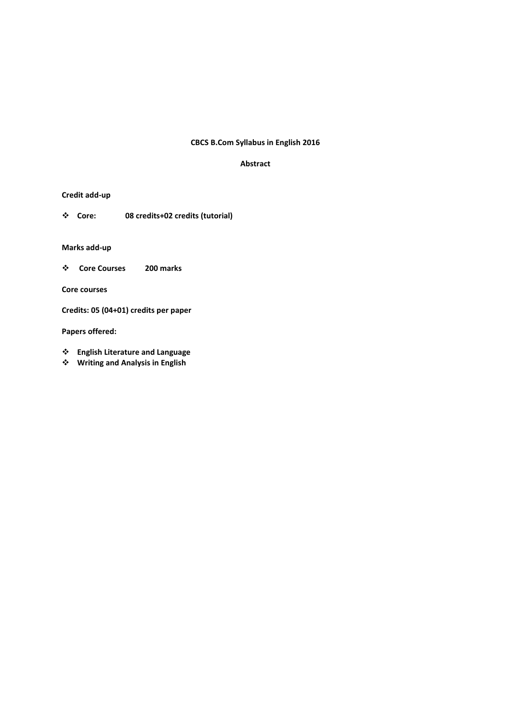# **CBCS B.Com Syllabus in English 2016**

## **Abstract**

# **Credit add-up**

**Core: 08 credits+02 credits (tutorial)** 

# **Marks add-up**

 **Core Courses 200 marks** 

**Core courses** 

**Credits: 05 (04+01) credits per paper** 

**Papers offered:** 

- **English Literature and Language**
- **Writing and Analysis in English**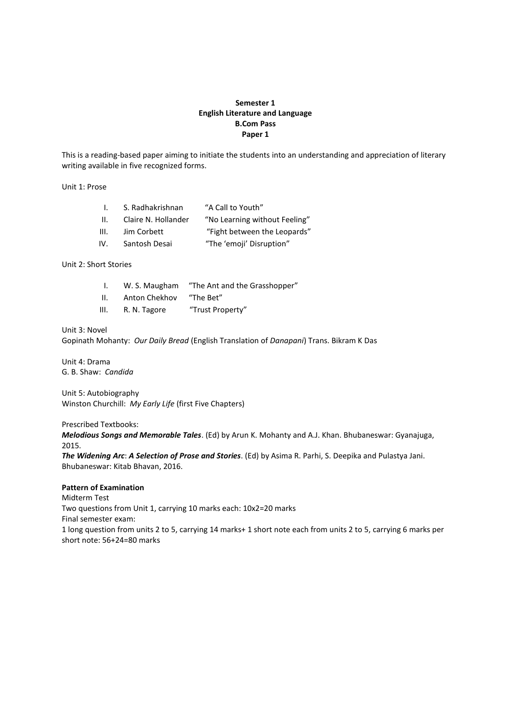# **Semester 1 English Literature and Language B.Com Pass Paper 1**

This is a reading-based paper aiming to initiate the students into an understanding and appreciation of literary writing available in five recognized forms.

Unit 1: Prose

| L.   | S. Radhakrishnan    | "A Call to Youth"             |
|------|---------------------|-------------------------------|
| H.   | Claire N. Hollander | "No Learning without Feeling" |
| III. | Jim Corbett         | "Fight between the Leopards"  |
| IV.  | Santosh Desai       | "The 'emoji' Disruption"      |

Unit 2: Short Stories

|     | W. S. Maugham | "The Ant and the Grasshopper" |
|-----|---------------|-------------------------------|
| ΙΙ. | Anton Chekhov | "The Bet"                     |

III. R. N. Tagore 
<sup>"Trust Property"</sup>

Unit 3: Novel

Gopinath Mohanty: *Our Daily Bread* (English Translation of *Danapani*) Trans. Bikram K Das

Unit 4: Drama G. B. Shaw: *Candida* 

Unit 5: Autobiography Winston Churchill: *My Early Life* (first Five Chapters)

Prescribed Textbooks:

*Melodious Songs and Memorable Tales*. (Ed) by Arun K. Mohanty and A.J. Khan. Bhubaneswar: Gyanajuga, 2015.

*The Widening Arc*: *A Selection of Prose and Stories*. (Ed) by Asima R. Parhi, S. Deepika and Pulastya Jani. Bhubaneswar: Kitab Bhavan, 2016.

# **Pattern of Examination**

Midterm Test

Two questions from Unit 1, carrying 10 marks each: 10x2=20 marks Final semester exam: 1 long question from units 2 to 5, carrying 14 marks+ 1 short note each from units 2 to 5, carrying 6 marks per

short note: 56+24=80 marks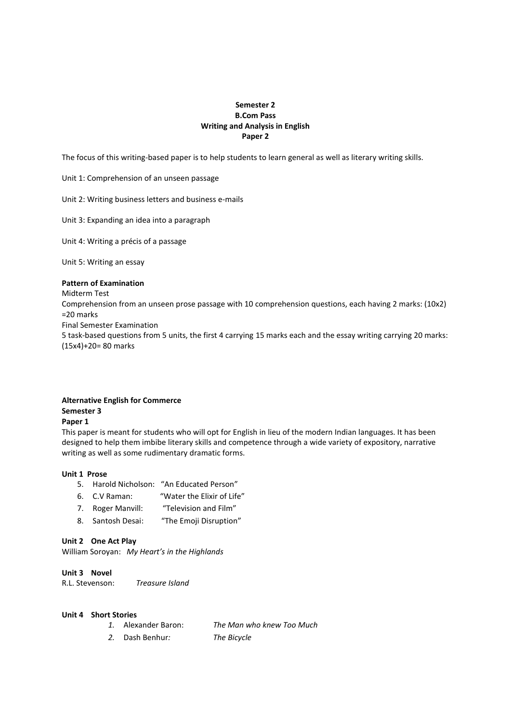# **Semester 2 B.Com Pass Writing and Analysis in English Paper 2**

The focus of this writing-based paper is to help students to learn general as well as literary writing skills.

Unit 1: Comprehension of an unseen passage

Unit 2: Writing business letters and business e-mails

Unit 3: Expanding an idea into a paragraph

Unit 4: Writing a précis of a passage

Unit 5: Writing an essay

#### **Pattern of Examination**

Midterm Test

Comprehension from an unseen prose passage with 10 comprehension questions, each having 2 marks: (10x2) =20 marks

Final Semester Examination

5 task-based questions from 5 units, the first 4 carrying 15 marks each and the essay writing carrying 20 marks: (15x4)+20= 80 marks

## **Alternative English for Commerce**

# **Semester 3**

#### **Paper 1**

This paper is meant for students who will opt for English in lieu of the modern Indian languages. It has been designed to help them imbibe literary skills and competence through a wide variety of expository, narrative writing as well as some rudimentary dramatic forms.

#### **Unit 1 Prose**

- 5. Harold Nicholson: "An Educated Person"
- 6. C.V Raman: "Water the Elixir of Life"
- 7. Roger Manvill: "Television and Film"
- 8. Santosh Desai: "The Emoji Disruption"

#### **Unit 2 One Act Play**

William Soroyan: *My Heart's in the Highlands* 

## **Unit 3 Novel**

R.L. Stevenson: *Treasure Island* 

#### **Unit 4 Short Stories**

- *1.* Alexander Baron: *The Man who knew Too Much*
- *2.* Dash Benhur*: The Bicycle*